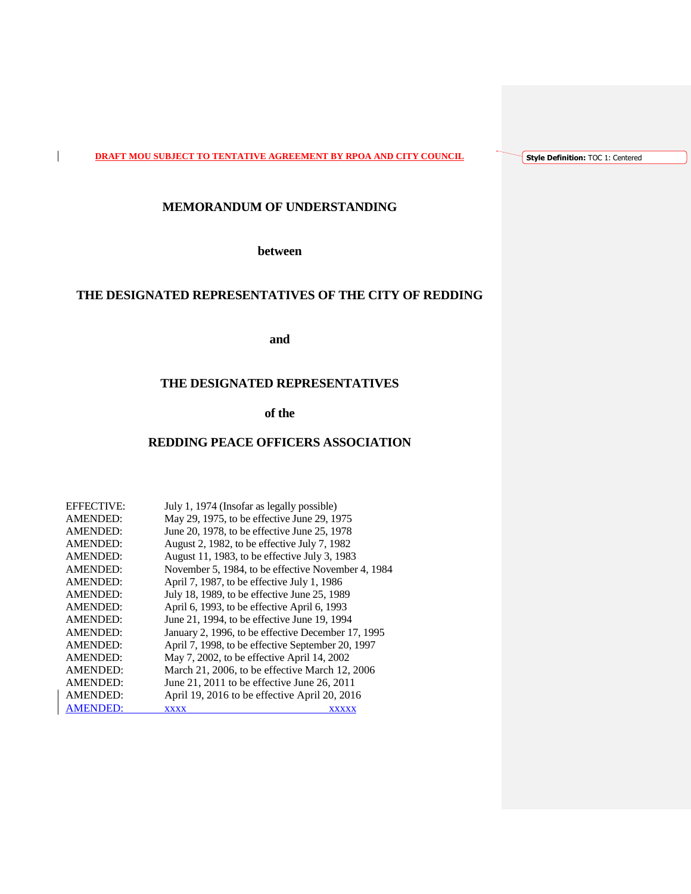**DRAFT MOU SUBJECT TO TENTATIVE AGREEMENT BY RPOA AND CITY COUNCIL**

 $\mathbf{I}$ 

**Style Definition:** TOC 1: Centered

# **MEMORANDUM OF UNDERSTANDING**

**between**

# **THE DESIGNATED REPRESENTATIVES OF THE CITY OF REDDING**

**and**

## **THE DESIGNATED REPRESENTATIVES**

# **of the**

## **REDDING PEACE OFFICERS ASSOCIATION**

| <b>EFFECTIVE:</b> | July 1, 1974 (Insofar as legally possible)         |
|-------------------|----------------------------------------------------|
| <b>AMENDED:</b>   | May 29, 1975, to be effective June 29, 1975        |
| <b>AMENDED:</b>   | June 20, 1978, to be effective June 25, 1978       |
| <b>AMENDED:</b>   | August 2, 1982, to be effective July 7, 1982       |
| <b>AMENDED:</b>   | August 11, 1983, to be effective July 3, 1983      |
| <b>AMENDED:</b>   | November 5, 1984, to be effective November 4, 1984 |
| <b>AMENDED:</b>   | April 7, 1987, to be effective July 1, 1986        |
| <b>AMENDED:</b>   | July 18, 1989, to be effective June 25, 1989       |
| <b>AMENDED:</b>   | April 6, 1993, to be effective April 6, 1993       |
| <b>AMENDED:</b>   | June 21, 1994, to be effective June 19, 1994       |
| <b>AMENDED:</b>   | January 2, 1996, to be effective December 17, 1995 |
| <b>AMENDED:</b>   | April 7, 1998, to be effective September 20, 1997  |
| <b>AMENDED:</b>   | May 7, 2002, to be effective April 14, 2002        |
| AMENDED:          | March 21, 2006, to be effective March 12, 2006     |
| AMENDED:          | June 21, 2011 to be effective June 26, 2011        |
| AMENDED:          | April 19, 2016 to be effective April 20, 2016      |
| <b>AMENDED:</b>   | <b>XXXX</b><br><b>XXXXX</b>                        |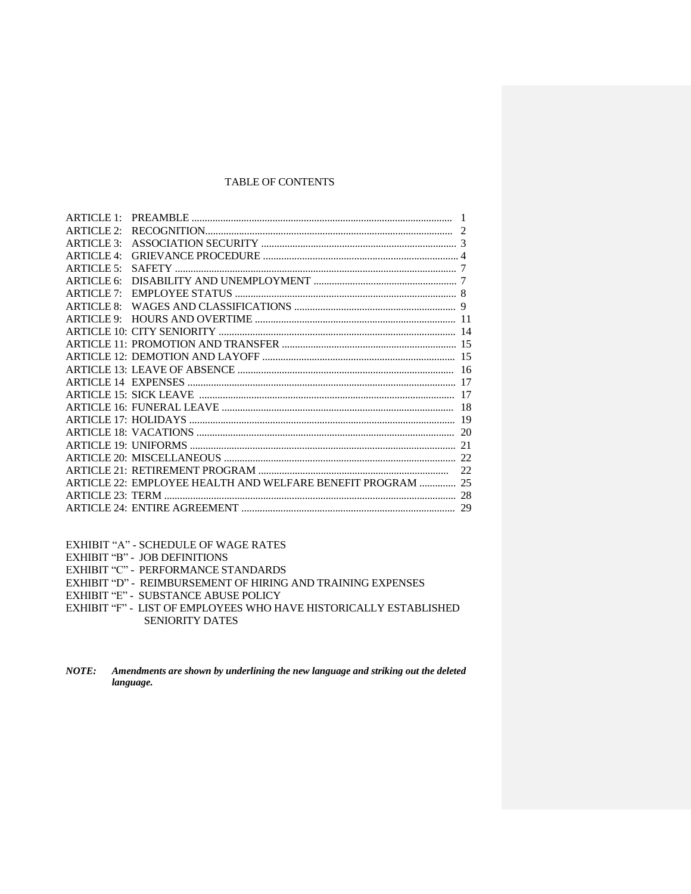## TABLE OF CONTENTS

| ARTICLE1    |                                                             |    |
|-------------|-------------------------------------------------------------|----|
| ARTICLE $2$ |                                                             |    |
| ARTICLE 3:  |                                                             |    |
| ARTICLE 4:  |                                                             |    |
| ARTICLE 5:  |                                                             |    |
| ARTICLE 6:  |                                                             |    |
| ARTICLE 7:  |                                                             |    |
| ARTICLE 8:  |                                                             |    |
|             |                                                             |    |
|             |                                                             |    |
|             |                                                             |    |
|             |                                                             |    |
|             |                                                             |    |
|             |                                                             |    |
|             |                                                             |    |
|             |                                                             |    |
|             |                                                             |    |
|             |                                                             |    |
|             |                                                             |    |
|             |                                                             |    |
|             |                                                             | 22 |
|             | ARTICLE 22: EMPLOYEE HEALTH AND WELFARE BENEFIT PROGRAM  25 |    |
|             |                                                             |    |
|             |                                                             | 29 |
|             |                                                             |    |

EXHIBIT "A" - SCHEDULE OF WAGE RATES

EXHIBIT "B" - JOB DEFINITIONS

EXHIBIT "C" - PERFORMANCE STANDARDS

EXHIBIT "D" - REIMBURSEMENT OF HIRING AND TRAINING EXPENSES

EXHIBIT "E" - SUBSTANCE ABUSE POLICY

EXHIBIT "F" - LIST OF EMPLOYEES WHO HAVE HISTORICALLY ESTABLISHED SENIORITY DATES

*NOTE: Amendments are shown by underlining the new language and striking out the deleted language.*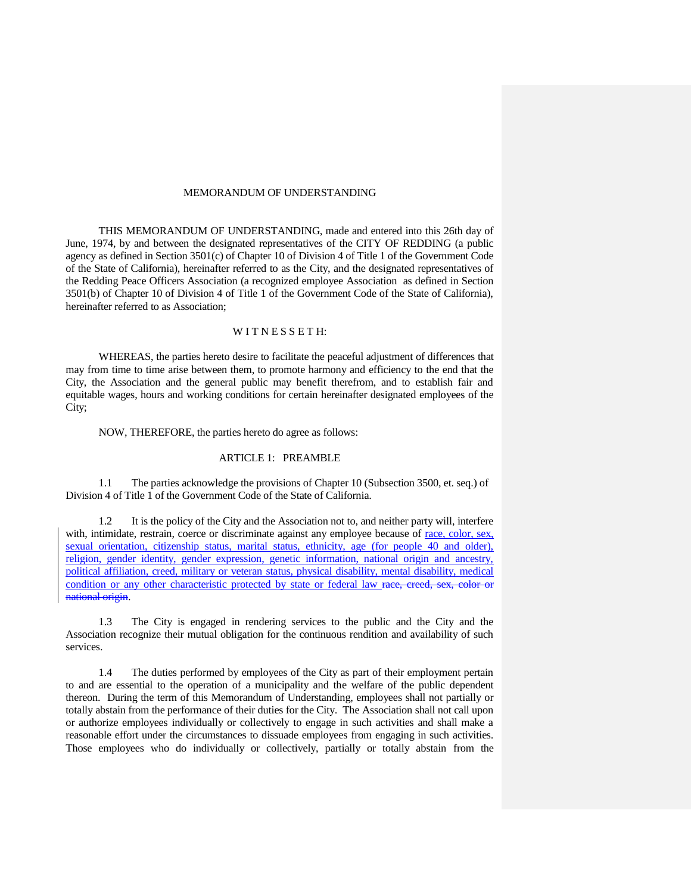## MEMORANDUM OF UNDERSTANDING

THIS MEMORANDUM OF UNDERSTANDING, made and entered into this 26th day of June, 1974, by and between the designated representatives of the CITY OF REDDING (a public agency as defined in Section 3501(c) of Chapter 10 of Division 4 of Title 1 of the Government Code of the State of California), hereinafter referred to as the City, and the designated representatives of the Redding Peace Officers Association (a recognized employee Association as defined in Section 3501(b) of Chapter 10 of Division 4 of Title 1 of the Government Code of the State of California), hereinafter referred to as Association;

## WITNESSETH:

WHEREAS, the parties hereto desire to facilitate the peaceful adjustment of differences that may from time to time arise between them, to promote harmony and efficiency to the end that the City, the Association and the general public may benefit therefrom, and to establish fair and equitable wages, hours and working conditions for certain hereinafter designated employees of the City;

NOW, THEREFORE, the parties hereto do agree as follows:

## ARTICLE 1: PREAMBLE

1.1 The parties acknowledge the provisions of Chapter 10 (Subsection 3500, et. seq.) of Division 4 of Title 1 of the Government Code of the State of California.

1.2 It is the policy of the City and the Association not to, and neither party will, interfere with, intimidate, restrain, coerce or discriminate against any employee because of race, color, sex, sexual orientation, citizenship status, marital status, ethnicity, age (for people 40 and older), religion, gender identity, gender expression, genetic information, national origin and ancestry, political affiliation, creed, military or veteran status, physical disability, mental disability, medical condition or any other characteristic protected by state or federal law race, creed, sex, color or national origin.

1.3 The City is engaged in rendering services to the public and the City and the Association recognize their mutual obligation for the continuous rendition and availability of such services.

1.4 The duties performed by employees of the City as part of their employment pertain to and are essential to the operation of a municipality and the welfare of the public dependent thereon. During the term of this Memorandum of Understanding, employees shall not partially or totally abstain from the performance of their duties for the City. The Association shall not call upon or authorize employees individually or collectively to engage in such activities and shall make a reasonable effort under the circumstances to dissuade employees from engaging in such activities. Those employees who do individually or collectively, partially or totally abstain from the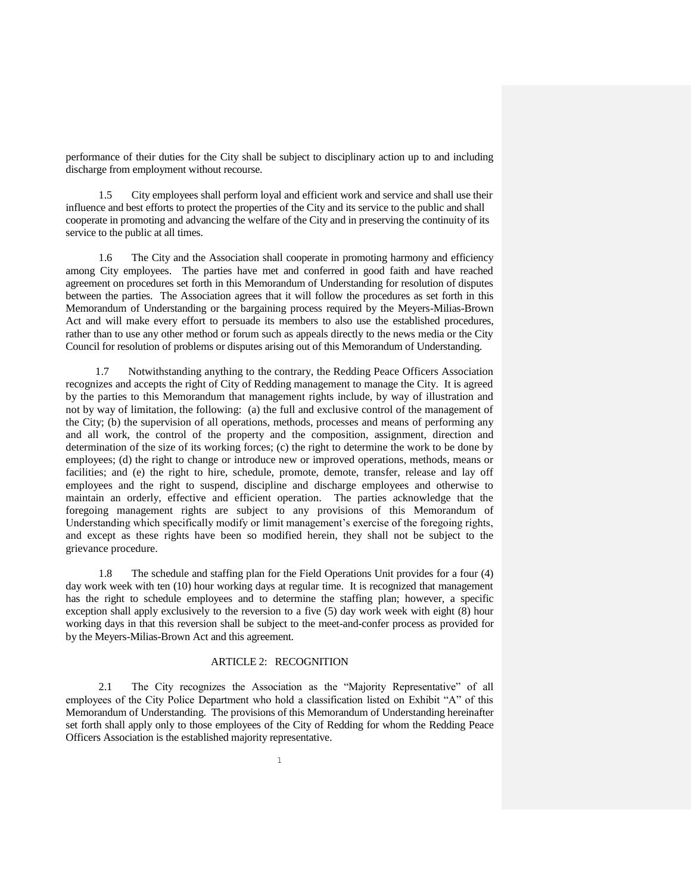performance of their duties for the City shall be subject to disciplinary action up to and including discharge from employment without recourse.

1.5 City employees shall perform loyal and efficient work and service and shall use their influence and best efforts to protect the properties of the City and its service to the public and shall cooperate in promoting and advancing the welfare of the City and in preserving the continuity of its service to the public at all times.

1.6 The City and the Association shall cooperate in promoting harmony and efficiency among City employees. The parties have met and conferred in good faith and have reached agreement on procedures set forth in this Memorandum of Understanding for resolution of disputes between the parties. The Association agrees that it will follow the procedures as set forth in this Memorandum of Understanding or the bargaining process required by the Meyers-Milias-Brown Act and will make every effort to persuade its members to also use the established procedures, rather than to use any other method or forum such as appeals directly to the news media or the City Council for resolution of problems or disputes arising out of this Memorandum of Understanding.

1.7 Notwithstanding anything to the contrary, the Redding Peace Officers Association recognizes and accepts the right of City of Redding management to manage the City. It is agreed by the parties to this Memorandum that management rights include, by way of illustration and not by way of limitation, the following: (a) the full and exclusive control of the management of the City; (b) the supervision of all operations, methods, processes and means of performing any and all work, the control of the property and the composition, assignment, direction and determination of the size of its working forces; (c) the right to determine the work to be done by employees; (d) the right to change or introduce new or improved operations, methods, means or facilities; and (e) the right to hire, schedule, promote, demote, transfer, release and lay off employees and the right to suspend, discipline and discharge employees and otherwise to maintain an orderly, effective and efficient operation. The parties acknowledge that the foregoing management rights are subject to any provisions of this Memorandum of Understanding which specifically modify or limit management's exercise of the foregoing rights, and except as these rights have been so modified herein, they shall not be subject to the grievance procedure.

1.8 The schedule and staffing plan for the Field Operations Unit provides for a four (4) day work week with ten (10) hour working days at regular time. It is recognized that management has the right to schedule employees and to determine the staffing plan; however, a specific exception shall apply exclusively to the reversion to a five (5) day work week with eight (8) hour working days in that this reversion shall be subject to the meet-and-confer process as provided for by the Meyers-Milias-Brown Act and this agreement.

#### ARTICLE 2: RECOGNITION

2.1 The City recognizes the Association as the "Majority Representative" of all employees of the City Police Department who hold a classification listed on Exhibit "A" of this Memorandum of Understanding. The provisions of this Memorandum of Understanding hereinafter set forth shall apply only to those employees of the City of Redding for whom the Redding Peace Officers Association is the established majority representative.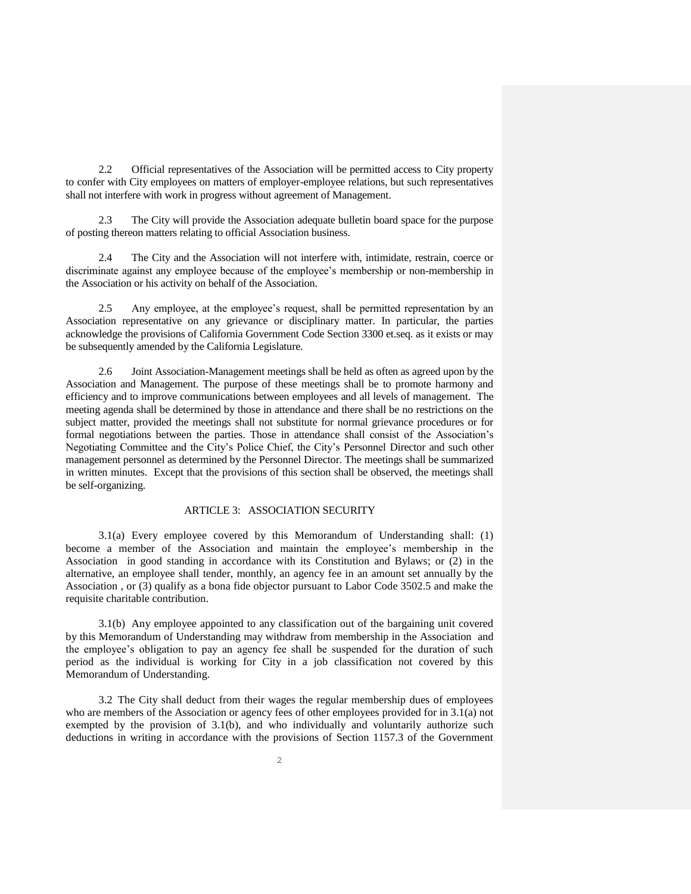2.2 Official representatives of the Association will be permitted access to City property to confer with City employees on matters of employer-employee relations, but such representatives shall not interfere with work in progress without agreement of Management.

2.3 The City will provide the Association adequate bulletin board space for the purpose of posting thereon matters relating to official Association business.

2.4 The City and the Association will not interfere with, intimidate, restrain, coerce or discriminate against any employee because of the employee's membership or non-membership in the Association or his activity on behalf of the Association.

2.5 Any employee, at the employee's request, shall be permitted representation by an Association representative on any grievance or disciplinary matter. In particular, the parties acknowledge the provisions of California Government Code Section 3300 et.seq. as it exists or may be subsequently amended by the California Legislature.

2.6 Joint Association-Management meetings shall be held as often as agreed upon by the Association and Management. The purpose of these meetings shall be to promote harmony and efficiency and to improve communications between employees and all levels of management. The meeting agenda shall be determined by those in attendance and there shall be no restrictions on the subject matter, provided the meetings shall not substitute for normal grievance procedures or for formal negotiations between the parties. Those in attendance shall consist of the Association's Negotiating Committee and the City's Police Chief, the City's Personnel Director and such other management personnel as determined by the Personnel Director. The meetings shall be summarized in written minutes. Except that the provisions of this section shall be observed, the meetings shall be self-organizing.

## ARTICLE 3: ASSOCIATION SECURITY

3.1(a) Every employee covered by this Memorandum of Understanding shall: (1) become a member of the Association and maintain the employee's membership in the Association in good standing in accordance with its Constitution and Bylaws; or (2) in the alternative, an employee shall tender, monthly, an agency fee in an amount set annually by the Association , or (3) qualify as a bona fide objector pursuant to Labor Code 3502.5 and make the requisite charitable contribution.

3.1(b) Any employee appointed to any classification out of the bargaining unit covered by this Memorandum of Understanding may withdraw from membership in the Association and the employee's obligation to pay an agency fee shall be suspended for the duration of such period as the individual is working for City in a job classification not covered by this Memorandum of Understanding.

3.2 The City shall deduct from their wages the regular membership dues of employees who are members of the Association or agency fees of other employees provided for in 3.1(a) not exempted by the provision of 3.1(b), and who individually and voluntarily authorize such deductions in writing in accordance with the provisions of Section 1157.3 of the Government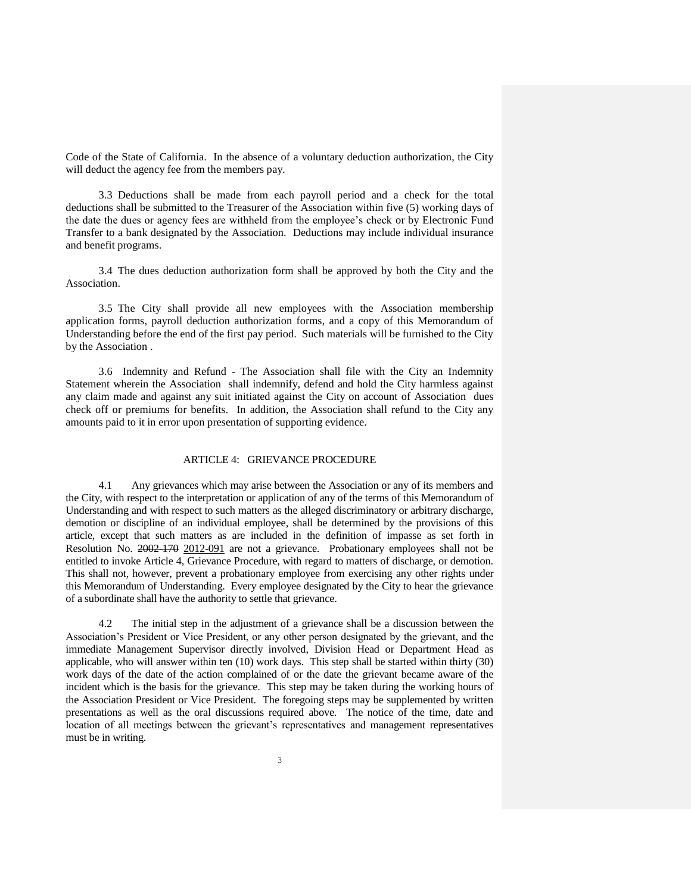Code of the State of California. In the absence of a voluntary deduction authorization, the City will deduct the agency fee from the members pay.

3.3 Deductions shall be made from each payroll period and a check for the total deductions shall be submitted to the Treasurer of the Association within five (5) working days of the date the dues or agency fees are withheld from the employee's check or by Electronic Fund Transfer to a bank designated by the Association. Deductions may include individual insurance and benefit programs.

3.4 The dues deduction authorization form shall be approved by both the City and the Association.

3.5 The City shall provide all new employees with the Association membership application forms, payroll deduction authorization forms, and a copy of this Memorandum of Understanding before the end of the first pay period. Such materials will be furnished to the City by the Association .

3.6 Indemnity and Refund - The Association shall file with the City an Indemnity Statement wherein the Association shall indemnify, defend and hold the City harmless against any claim made and against any suit initiated against the City on account of Association dues check off or premiums for benefits. In addition, the Association shall refund to the City any amounts paid to it in error upon presentation of supporting evidence.

## ARTICLE 4: GRIEVANCE PROCEDURE

4.1 Any grievances which may arise between the Association or any of its members and the City, with respect to the interpretation or application of any of the terms of this Memorandum of Understanding and with respect to such matters as the alleged discriminatory or arbitrary discharge, demotion or discipline of an individual employee, shall be determined by the provisions of this article, except that such matters as are included in the definition of impasse as set forth in Resolution No. 2002-170 2012-091 are not a grievance. Probationary employees shall not be entitled to invoke Article 4, Grievance Procedure, with regard to matters of discharge, or demotion. This shall not, however, prevent a probationary employee from exercising any other rights under this Memorandum of Understanding. Every employee designated by the City to hear the grievance of a subordinate shall have the authority to settle that grievance.

4.2 The initial step in the adjustment of a grievance shall be a discussion between the Association's President or Vice President, or any other person designated by the grievant, and the immediate Management Supervisor directly involved, Division Head or Department Head as applicable, who will answer within ten (10) work days. This step shall be started within thirty (30) work days of the date of the action complained of or the date the grievant became aware of the incident which is the basis for the grievance. This step may be taken during the working hours of the Association President or Vice President. The foregoing steps may be supplemented by written presentations as well as the oral discussions required above. The notice of the time, date and location of all meetings between the grievant's representatives and management representatives must be in writing.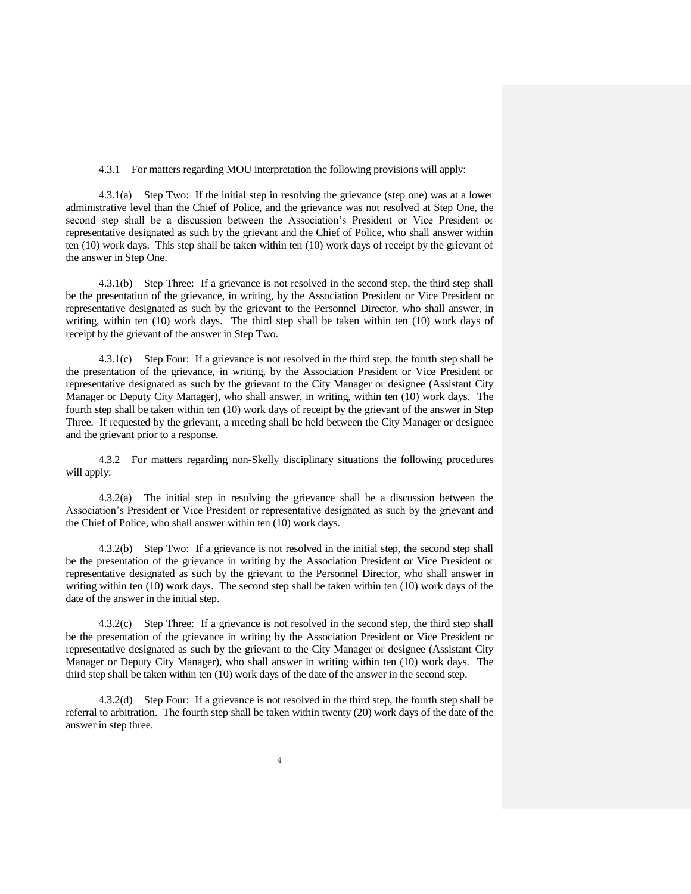4.3.1 For matters regarding MOU interpretation the following provisions will apply:

4.3.1(a) Step Two: If the initial step in resolving the grievance (step one) was at a lower administrative level than the Chief of Police, and the grievance was not resolved at Step One, the second step shall be a discussion between the Association's President or Vice President or representative designated as such by the grievant and the Chief of Police, who shall answer within ten (10) work days. This step shall be taken within ten (10) work days of receipt by the grievant of the answer in Step One.

4.3.1(b) Step Three: If a grievance is not resolved in the second step, the third step shall be the presentation of the grievance, in writing, by the Association President or Vice President or representative designated as such by the grievant to the Personnel Director, who shall answer, in writing, within ten (10) work days. The third step shall be taken within ten (10) work days of receipt by the grievant of the answer in Step Two.

4.3.1(c) Step Four: If a grievance is not resolved in the third step, the fourth step shall be the presentation of the grievance, in writing, by the Association President or Vice President or representative designated as such by the grievant to the City Manager or designee (Assistant City Manager or Deputy City Manager), who shall answer, in writing, within ten (10) work days. The fourth step shall be taken within ten (10) work days of receipt by the grievant of the answer in Step Three. If requested by the grievant, a meeting shall be held between the City Manager or designee and the grievant prior to a response.

4.3.2 For matters regarding non-Skelly disciplinary situations the following procedures will apply:

4.3.2(a) The initial step in resolving the grievance shall be a discussion between the Association's President or Vice President or representative designated as such by the grievant and the Chief of Police, who shall answer within ten (10) work days.

4.3.2(b) Step Two: If a grievance is not resolved in the initial step, the second step shall be the presentation of the grievance in writing by the Association President or Vice President or representative designated as such by the grievant to the Personnel Director, who shall answer in writing within ten (10) work days. The second step shall be taken within ten (10) work days of the date of the answer in the initial step.

4.3.2(c) Step Three: If a grievance is not resolved in the second step, the third step shall be the presentation of the grievance in writing by the Association President or Vice President or representative designated as such by the grievant to the City Manager or designee (Assistant City Manager or Deputy City Manager), who shall answer in writing within ten (10) work days. The third step shall be taken within ten (10) work days of the date of the answer in the second step.

4.3.2(d) Step Four: If a grievance is not resolved in the third step, the fourth step shall be referral to arbitration. The fourth step shall be taken within twenty (20) work days of the date of the answer in step three.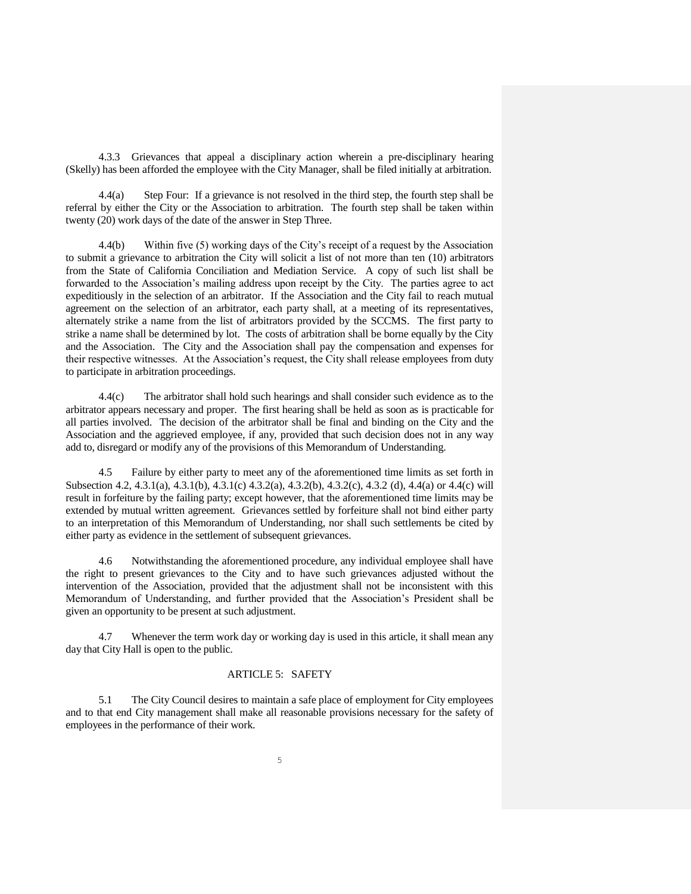4.3.3 Grievances that appeal a disciplinary action wherein a pre-disciplinary hearing (Skelly) has been afforded the employee with the City Manager, shall be filed initially at arbitration.

4.4(a) Step Four: If a grievance is not resolved in the third step, the fourth step shall be referral by either the City or the Association to arbitration. The fourth step shall be taken within twenty (20) work days of the date of the answer in Step Three.

4.4(b) Within five (5) working days of the City's receipt of a request by the Association to submit a grievance to arbitration the City will solicit a list of not more than ten (10) arbitrators from the State of California Conciliation and Mediation Service. A copy of such list shall be forwarded to the Association's mailing address upon receipt by the City. The parties agree to act expeditiously in the selection of an arbitrator. If the Association and the City fail to reach mutual agreement on the selection of an arbitrator, each party shall, at a meeting of its representatives, alternately strike a name from the list of arbitrators provided by the SCCMS. The first party to strike a name shall be determined by lot. The costs of arbitration shall be borne equally by the City and the Association. The City and the Association shall pay the compensation and expenses for their respective witnesses. At the Association's request, the City shall release employees from duty to participate in arbitration proceedings.

4.4(c) The arbitrator shall hold such hearings and shall consider such evidence as to the arbitrator appears necessary and proper. The first hearing shall be held as soon as is practicable for all parties involved. The decision of the arbitrator shall be final and binding on the City and the Association and the aggrieved employee, if any, provided that such decision does not in any way add to, disregard or modify any of the provisions of this Memorandum of Understanding.

4.5 Failure by either party to meet any of the aforementioned time limits as set forth in Subsection 4.2, 4.3.1(a), 4.3.1(b), 4.3.1(c) 4.3.2(a), 4.3.2(b), 4.3.2(c), 4.3.2 (d), 4.4(a) or 4.4(c) will result in forfeiture by the failing party; except however, that the aforementioned time limits may be extended by mutual written agreement. Grievances settled by forfeiture shall not bind either party to an interpretation of this Memorandum of Understanding, nor shall such settlements be cited by either party as evidence in the settlement of subsequent grievances.

4.6 Notwithstanding the aforementioned procedure, any individual employee shall have the right to present grievances to the City and to have such grievances adjusted without the intervention of the Association, provided that the adjustment shall not be inconsistent with this Memorandum of Understanding, and further provided that the Association's President shall be given an opportunity to be present at such adjustment.

4.7 Whenever the term work day or working day is used in this article, it shall mean any day that City Hall is open to the public.

#### ARTICLE 5: SAFETY

5.1 The City Council desires to maintain a safe place of employment for City employees and to that end City management shall make all reasonable provisions necessary for the safety of employees in the performance of their work.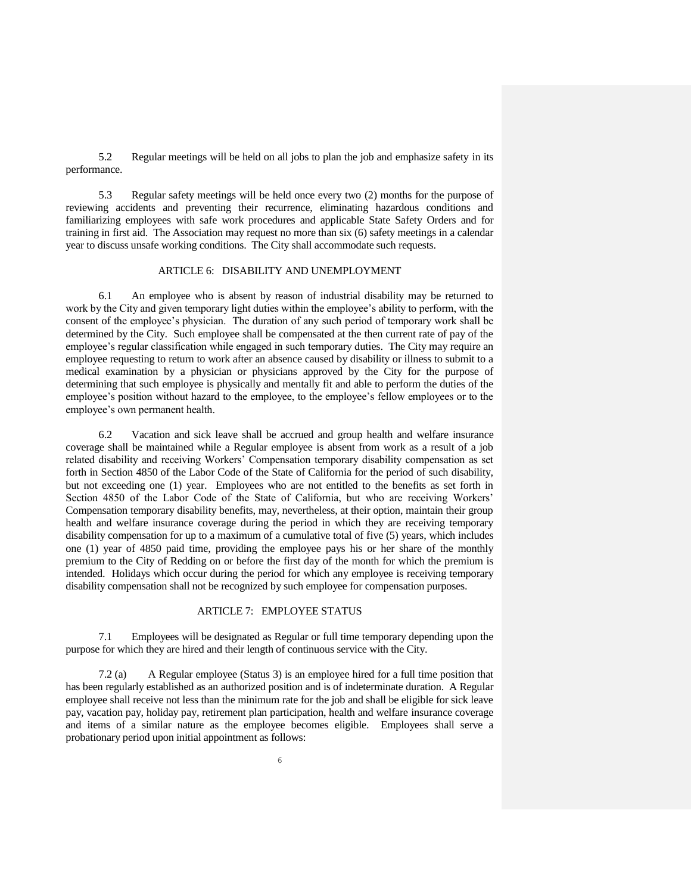5.2 Regular meetings will be held on all jobs to plan the job and emphasize safety in its performance.

5.3 Regular safety meetings will be held once every two (2) months for the purpose of reviewing accidents and preventing their recurrence, eliminating hazardous conditions and familiarizing employees with safe work procedures and applicable State Safety Orders and for training in first aid. The Association may request no more than six (6) safety meetings in a calendar year to discuss unsafe working conditions. The City shall accommodate such requests.

#### ARTICLE 6: DISABILITY AND UNEMPLOYMENT

6.1 An employee who is absent by reason of industrial disability may be returned to work by the City and given temporary light duties within the employee's ability to perform, with the consent of the employee's physician. The duration of any such period of temporary work shall be determined by the City. Such employee shall be compensated at the then current rate of pay of the employee's regular classification while engaged in such temporary duties. The City may require an employee requesting to return to work after an absence caused by disability or illness to submit to a medical examination by a physician or physicians approved by the City for the purpose of determining that such employee is physically and mentally fit and able to perform the duties of the employee's position without hazard to the employee, to the employee's fellow employees or to the employee's own permanent health.

6.2 Vacation and sick leave shall be accrued and group health and welfare insurance coverage shall be maintained while a Regular employee is absent from work as a result of a job related disability and receiving Workers' Compensation temporary disability compensation as set forth in Section 4850 of the Labor Code of the State of California for the period of such disability, but not exceeding one (1) year. Employees who are not entitled to the benefits as set forth in Section 4850 of the Labor Code of the State of California, but who are receiving Workers' Compensation temporary disability benefits, may, nevertheless, at their option, maintain their group health and welfare insurance coverage during the period in which they are receiving temporary disability compensation for up to a maximum of a cumulative total of five (5) years, which includes one (1) year of 4850 paid time, providing the employee pays his or her share of the monthly premium to the City of Redding on or before the first day of the month for which the premium is intended. Holidays which occur during the period for which any employee is receiving temporary disability compensation shall not be recognized by such employee for compensation purposes.

## ARTICLE 7: EMPLOYEE STATUS

7.1 Employees will be designated as Regular or full time temporary depending upon the purpose for which they are hired and their length of continuous service with the City.

7.2 (a) A Regular employee (Status 3) is an employee hired for a full time position that has been regularly established as an authorized position and is of indeterminate duration. A Regular employee shall receive not less than the minimum rate for the job and shall be eligible for sick leave pay, vacation pay, holiday pay, retirement plan participation, health and welfare insurance coverage and items of a similar nature as the employee becomes eligible. Employees shall serve a probationary period upon initial appointment as follows: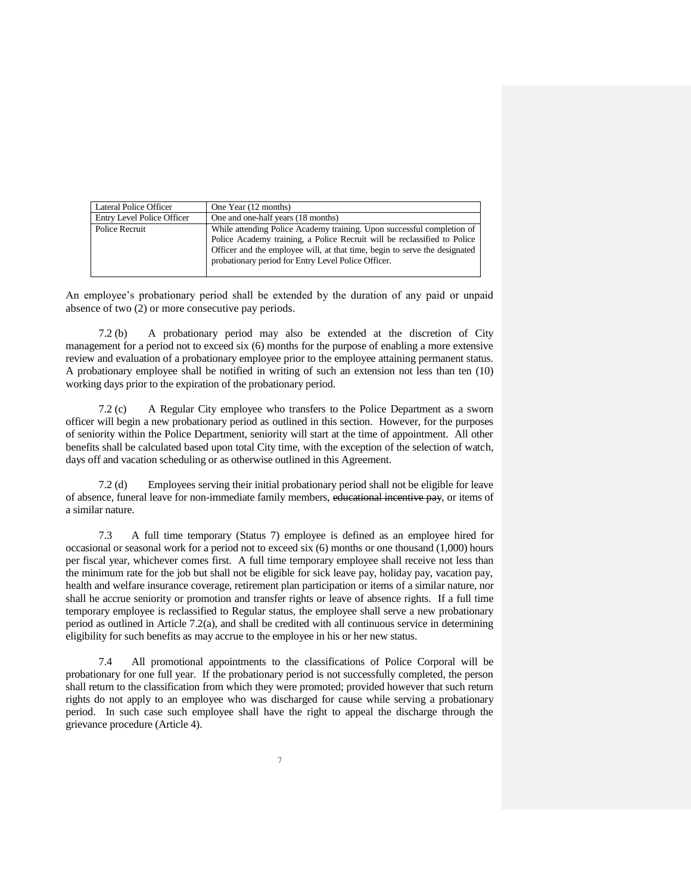| Lateral Police Officer     | One Year (12 months)                                                                                                              |
|----------------------------|-----------------------------------------------------------------------------------------------------------------------------------|
| Entry Level Police Officer | One and one-half years (18 months)                                                                                                |
| Police Recruit             | While attending Police Academy training. Upon successful completion of                                                            |
|                            | Police Academy training, a Police Recruit will be reclassified to Police                                                          |
|                            | Officer and the employee will, at that time, begin to serve the designated<br>probationary period for Entry Level Police Officer. |
|                            |                                                                                                                                   |

An employee's probationary period shall be extended by the duration of any paid or unpaid absence of two (2) or more consecutive pay periods.

7.2 (b) A probationary period may also be extended at the discretion of City management for a period not to exceed six (6) months for the purpose of enabling a more extensive review and evaluation of a probationary employee prior to the employee attaining permanent status. A probationary employee shall be notified in writing of such an extension not less than ten (10) working days prior to the expiration of the probationary period.

7.2 (c) A Regular City employee who transfers to the Police Department as a sworn officer will begin a new probationary period as outlined in this section. However, for the purposes of seniority within the Police Department, seniority will start at the time of appointment. All other benefits shall be calculated based upon total City time, with the exception of the selection of watch, days off and vacation scheduling or as otherwise outlined in this Agreement.

7.2 (d) Employees serving their initial probationary period shall not be eligible for leave of absence, funeral leave for non-immediate family members, educational incentive pay, or items of a similar nature.

7.3 A full time temporary (Status 7) employee is defined as an employee hired for occasional or seasonal work for a period not to exceed six (6) months or one thousand (1,000) hours per fiscal year, whichever comes first. A full time temporary employee shall receive not less than the minimum rate for the job but shall not be eligible for sick leave pay, holiday pay, vacation pay, health and welfare insurance coverage, retirement plan participation or items of a similar nature, nor shall he accrue seniority or promotion and transfer rights or leave of absence rights. If a full time temporary employee is reclassified to Regular status, the employee shall serve a new probationary period as outlined in Article 7.2(a), and shall be credited with all continuous service in determining eligibility for such benefits as may accrue to the employee in his or her new status.

7.4 All promotional appointments to the classifications of Police Corporal will be probationary for one full year. If the probationary period is not successfully completed, the person shall return to the classification from which they were promoted; provided however that such return rights do not apply to an employee who was discharged for cause while serving a probationary period. In such case such employee shall have the right to appeal the discharge through the grievance procedure (Article 4).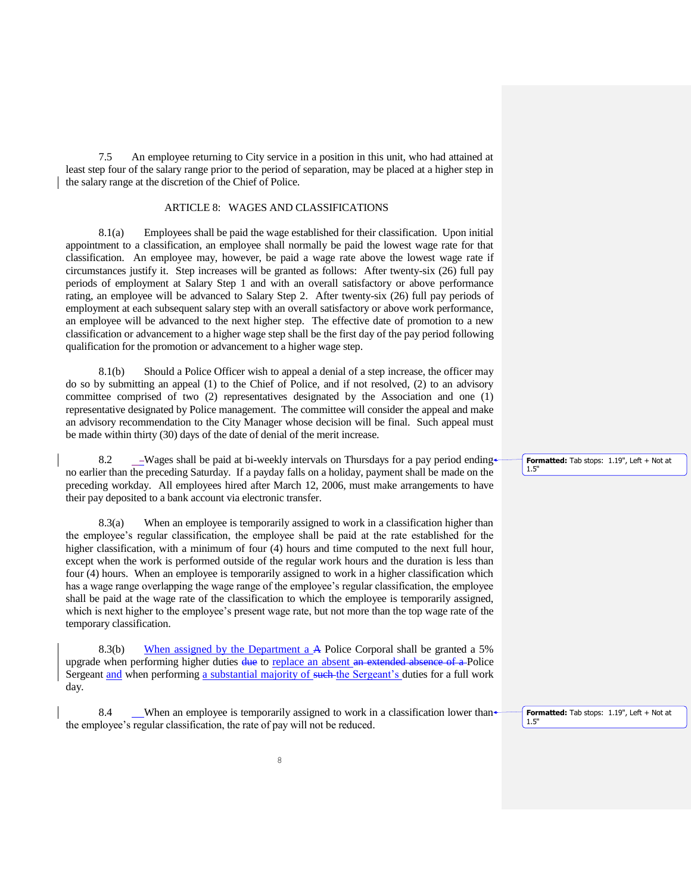7.5 An employee returning to City service in a position in this unit, who had attained at least step four of the salary range prior to the period of separation, may be placed at a higher step in the salary range at the discretion of the Chief of Police.

## ARTICLE 8: WAGES AND CLASSIFICATIONS

8.1(a) Employees shall be paid the wage established for their classification. Upon initial appointment to a classification, an employee shall normally be paid the lowest wage rate for that classification. An employee may, however, be paid a wage rate above the lowest wage rate if circumstances justify it. Step increases will be granted as follows: After twenty-six (26) full pay periods of employment at Salary Step 1 and with an overall satisfactory or above performance rating, an employee will be advanced to Salary Step 2. After twenty-six (26) full pay periods of employment at each subsequent salary step with an overall satisfactory or above work performance, an employee will be advanced to the next higher step. The effective date of promotion to a new classification or advancement to a higher wage step shall be the first day of the pay period following qualification for the promotion or advancement to a higher wage step.

8.1(b) Should a Police Officer wish to appeal a denial of a step increase, the officer may do so by submitting an appeal (1) to the Chief of Police, and if not resolved, (2) to an advisory committee comprised of two (2) representatives designated by the Association and one (1) representative designated by Police management. The committee will consider the appeal and make an advisory recommendation to the City Manager whose decision will be final. Such appeal must be made within thirty (30) days of the date of denial of the merit increase.

8.2 \_\_\_Wages shall be paid at bi-weekly intervals on Thursdays for a pay period ending no earlier than the preceding Saturday. If a payday falls on a holiday, payment shall be made on the preceding workday. All employees hired after March 12, 2006, must make arrangements to have their pay deposited to a bank account via electronic transfer.

8.3(a) When an employee is temporarily assigned to work in a classification higher than the employee's regular classification, the employee shall be paid at the rate established for the higher classification, with a minimum of four (4) hours and time computed to the next full hour. except when the work is performed outside of the regular work hours and the duration is less than four (4) hours. When an employee is temporarily assigned to work in a higher classification which has a wage range overlapping the wage range of the employee's regular classification, the employee shall be paid at the wage rate of the classification to which the employee is temporarily assigned, which is next higher to the employee's present wage rate, but not more than the top wage rate of the temporary classification.

8.3(b) When assigned by the Department a A Police Corporal shall be granted a 5% upgrade when performing higher duties due to replace an absent an extended absence of a Police Sergeant and when performing a substantial majority of such the Sergeant's duties for a full work day.

8.4 When an employee is temporarily assigned to work in a classification lower than the employee's regular classification, the rate of pay will not be reduced.

**Formatted:** Tab stops: 1.19", Left + Not at 1.5"

**Formatted:** Tab stops: 1.19", Left + Not at 1.5"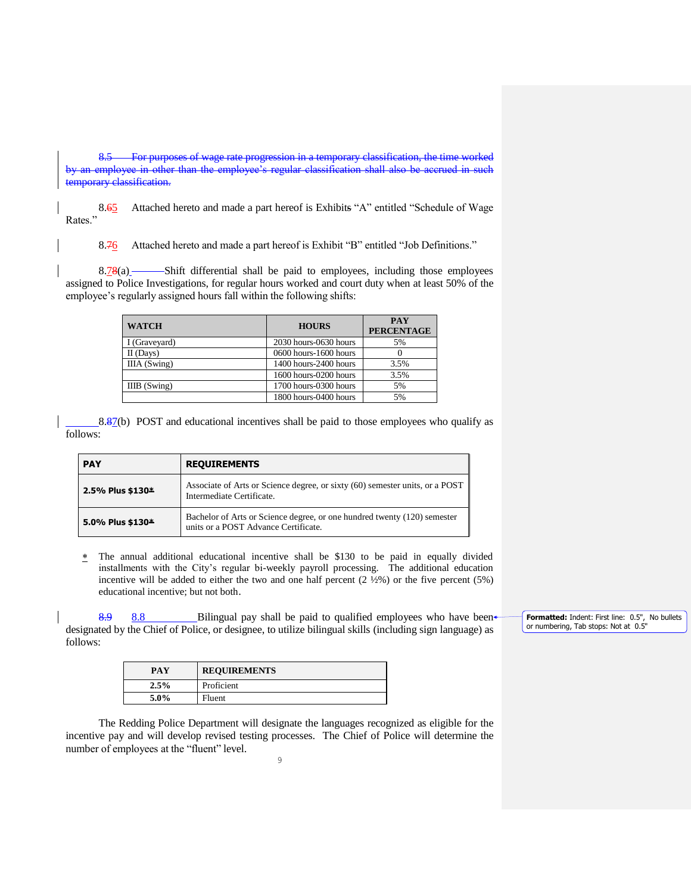8.5 For purposes of wage rate progression in a temporary classification, the time worked by an employee in other than the employee's regular classification shall also temporary classification.

8.65 Attached hereto and made a part hereof is Exhibits "A" entitled "Schedule of Wage Rates."

8.76 Attached hereto and made a part hereof is Exhibit "B" entitled "Job Definitions."

8.78(a) Shift differential shall be paid to employees, including those employees assigned to Police Investigations, for regular hours worked and court duty when at least 50% of the employee's regularly assigned hours fall within the following shifts:

| <b>WATCH</b>   | <b>HOURS</b>          | <b>PAY</b><br><b>PERCENTAGE</b> |
|----------------|-----------------------|---------------------------------|
| I (Graveyard)  | 2030 hours-0630 hours | 5%                              |
| $II$ (Days)    | 0600 hours-1600 hours |                                 |
| IIIA (Swing)   | 1400 hours-2400 hours | 3.5%                            |
|                | 1600 hours-0200 hours | 3.5%                            |
| $IIIB$ (Swing) | 1700 hours-0300 hours | 5%                              |
|                | 1800 hours-0400 hours | 5%                              |

8.87(b) POST and educational incentives shall be paid to those employees who qualify as follows:

| <b>PAY</b><br><b>REQUIREMENTS</b> |                                                                                                                  |  |
|-----------------------------------|------------------------------------------------------------------------------------------------------------------|--|
| 2.5% Plus \$130 $*$               | Associate of Arts or Science degree, or sixty (60) semester units, or a POST<br>Intermediate Certificate.        |  |
| 5.0% Plus \$130*                  | Bachelor of Arts or Science degree, or one hundred twenty (120) semester<br>units or a POST Advance Certificate. |  |

 $*$  The annual additional educational incentive shall be \$130 to be paid in equally divided installments with the City's regular bi-weekly payroll processing. The additional education incentive will be added to either the two and one half percent  $(2 \frac{1}{2}\%)$  or the five percent (5%) educational incentive; but not both.

8.9 8.8 Bilingual pay shall be paid to qualified employees who have been designated by the Chief of Police, or designee, to utilize bilingual skills (including sign language) as follows:

| PAY     | <b>REQUIREMENTS</b> |
|---------|---------------------|
| 2.5%    | Proficient          |
| $5.0\%$ | Fluent              |

The Redding Police Department will designate the languages recognized as eligible for the incentive pay and will develop revised testing processes. The Chief of Police will determine the number of employees at the "fluent" level.

**Formatted:** Indent: First line: 0.5", No bullets or numbering, Tab stops: Not at 0.5"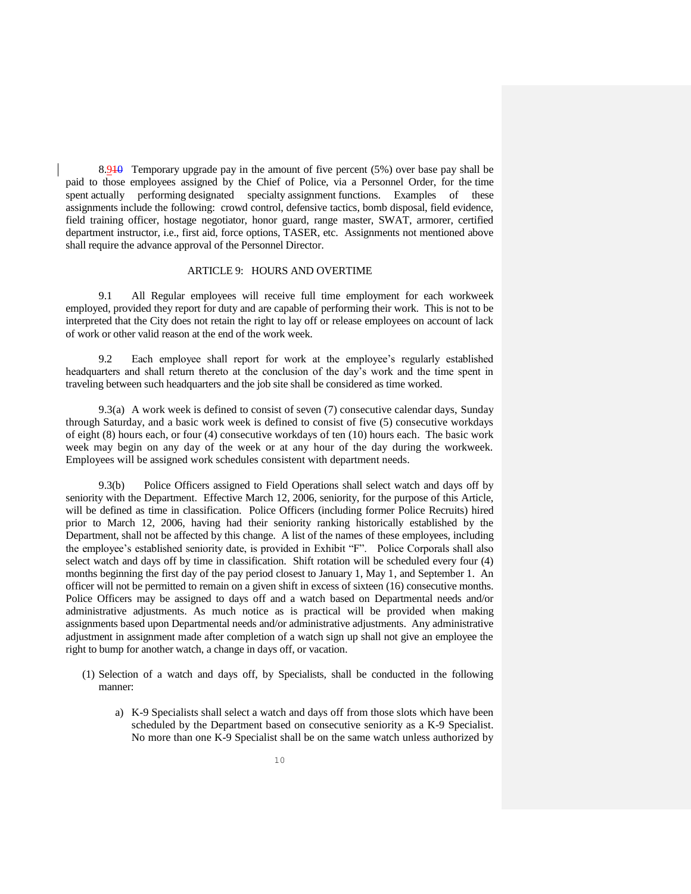8.910 Temporary upgrade pay in the amount of five percent (5%) over base pay shall be paid to those employees assigned by the Chief of Police, via a Personnel Order, for the time spent actually performing designated specialty assignment functions. Examples of these assignments include the following: crowd control, defensive tactics, bomb disposal, field evidence, field training officer, hostage negotiator, honor guard, range master, SWAT, armorer, certified department instructor, i.e., first aid, force options, TASER, etc. Assignments not mentioned above shall require the advance approval of the Personnel Director.

#### ARTICLE 9: HOURS AND OVERTIME

9.1 All Regular employees will receive full time employment for each workweek employed, provided they report for duty and are capable of performing their work. This is not to be interpreted that the City does not retain the right to lay off or release employees on account of lack of work or other valid reason at the end of the work week.

9.2 Each employee shall report for work at the employee's regularly established headquarters and shall return thereto at the conclusion of the day's work and the time spent in traveling between such headquarters and the job site shall be considered as time worked.

9.3(a) A work week is defined to consist of seven (7) consecutive calendar days, Sunday through Saturday, and a basic work week is defined to consist of five (5) consecutive workdays of eight (8) hours each, or four (4) consecutive workdays of ten (10) hours each. The basic work week may begin on any day of the week or at any hour of the day during the workweek. Employees will be assigned work schedules consistent with department needs.

9.3(b) Police Officers assigned to Field Operations shall select watch and days off by seniority with the Department. Effective March 12, 2006, seniority, for the purpose of this Article, will be defined as time in classification. Police Officers (including former Police Recruits) hired prior to March 12, 2006, having had their seniority ranking historically established by the Department, shall not be affected by this change. A list of the names of these employees, including the employee's established seniority date, is provided in Exhibit "F". Police Corporals shall also select watch and days off by time in classification. Shift rotation will be scheduled every four (4) months beginning the first day of the pay period closest to January 1, May 1, and September 1. An officer will not be permitted to remain on a given shift in excess of sixteen (16) consecutive months. Police Officers may be assigned to days off and a watch based on Departmental needs and/or administrative adjustments. As much notice as is practical will be provided when making assignments based upon Departmental needs and/or administrative adjustments. Any administrative adjustment in assignment made after completion of a watch sign up shall not give an employee the right to bump for another watch, a change in days off, or vacation.

- (1) Selection of a watch and days off, by Specialists, shall be conducted in the following manner:
	- a) K-9 Specialists shall select a watch and days off from those slots which have been scheduled by the Department based on consecutive seniority as a K-9 Specialist. No more than one K-9 Specialist shall be on the same watch unless authorized by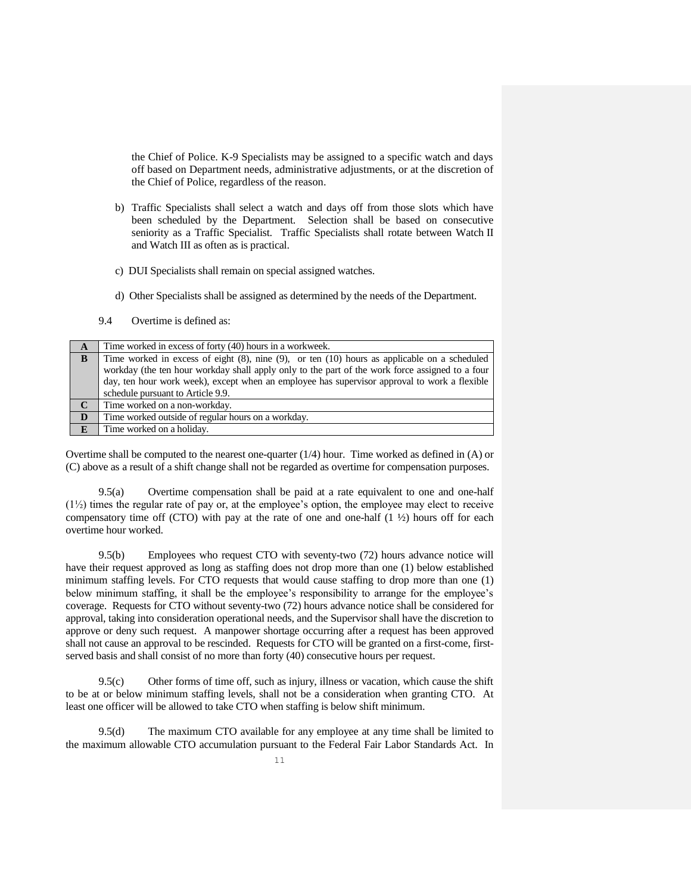the Chief of Police. K-9 Specialists may be assigned to a specific watch and days off based on Department needs, administrative adjustments, or at the discretion of the Chief of Police, regardless of the reason.

- b) Traffic Specialists shall select a watch and days off from those slots which have been scheduled by the Department. Selection shall be based on consecutive seniority as a Traffic Specialist. Traffic Specialists shall rotate between Watch II and Watch III as often as is practical.
- c) DUI Specialists shall remain on special assigned watches.
- d) Other Specialists shall be assigned as determined by the needs of the Department.
- 9.4 Overtime is defined as:

| A            | Time worked in excess of forty (40) hours in a workweek.                                             |  |  |  |
|--------------|------------------------------------------------------------------------------------------------------|--|--|--|
| B            | Time worked in excess of eight $(8)$ , nine $(9)$ , or ten $(10)$ hours as applicable on a scheduled |  |  |  |
|              | workday (the ten hour workday shall apply only to the part of the work force assigned to a four      |  |  |  |
|              | day, ten hour work week), except when an employee has supervisor approval to work a flexible         |  |  |  |
|              | schedule pursuant to Article 9.9.                                                                    |  |  |  |
|              | Time worked on a non-workday.                                                                        |  |  |  |
| D            | Time worked outside of regular hours on a workday.                                                   |  |  |  |
| $\mathbf{F}$ | Time worked on a holiday.                                                                            |  |  |  |

Overtime shall be computed to the nearest one-quarter  $(1/4)$  hour. Time worked as defined in  $(A)$  or (C) above as a result of a shift change shall not be regarded as overtime for compensation purposes.

9.5(a) Overtime compensation shall be paid at a rate equivalent to one and one-half (1½) times the regular rate of pay or, at the employee's option, the employee may elect to receive compensatory time off (CTO) with pay at the rate of one and one-half  $(1 \frac{1}{2})$  hours off for each overtime hour worked.

9.5(b) Employees who request CTO with seventy-two (72) hours advance notice will have their request approved as long as staffing does not drop more than one (1) below established minimum staffing levels. For CTO requests that would cause staffing to drop more than one (1) below minimum staffing, it shall be the employee's responsibility to arrange for the employee's coverage. Requests for CTO without seventy-two (72) hours advance notice shall be considered for approval, taking into consideration operational needs, and the Supervisor shall have the discretion to approve or deny such request. A manpower shortage occurring after a request has been approved shall not cause an approval to be rescinded. Requests for CTO will be granted on a first-come, firstserved basis and shall consist of no more than forty (40) consecutive hours per request.

9.5(c) Other forms of time off, such as injury, illness or vacation, which cause the shift to be at or below minimum staffing levels, shall not be a consideration when granting CTO. At least one officer will be allowed to take CTO when staffing is below shift minimum.

9.5(d) The maximum CTO available for any employee at any time shall be limited to the maximum allowable CTO accumulation pursuant to the Federal Fair Labor Standards Act. In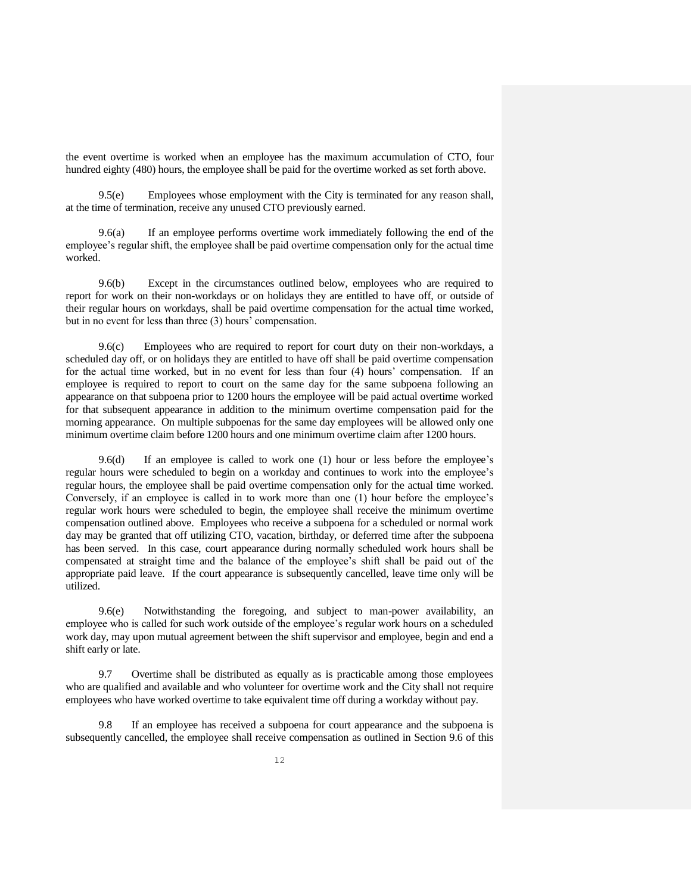the event overtime is worked when an employee has the maximum accumulation of CTO, four hundred eighty (480) hours, the employee shall be paid for the overtime worked as set forth above.

9.5(e) Employees whose employment with the City is terminated for any reason shall, at the time of termination, receive any unused CTO previously earned.

9.6(a) If an employee performs overtime work immediately following the end of the employee's regular shift, the employee shall be paid overtime compensation only for the actual time worked.

9.6(b) Except in the circumstances outlined below, employees who are required to report for work on their non-workdays or on holidays they are entitled to have off, or outside of their regular hours on workdays, shall be paid overtime compensation for the actual time worked, but in no event for less than three (3) hours' compensation.

9.6(c) Employees who are required to report for court duty on their non-workdays, a scheduled day off, or on holidays they are entitled to have off shall be paid overtime compensation for the actual time worked, but in no event for less than four (4) hours' compensation. If an employee is required to report to court on the same day for the same subpoena following an appearance on that subpoena prior to 1200 hours the employee will be paid actual overtime worked for that subsequent appearance in addition to the minimum overtime compensation paid for the morning appearance. On multiple subpoenas for the same day employees will be allowed only one minimum overtime claim before 1200 hours and one minimum overtime claim after 1200 hours.

9.6(d) If an employee is called to work one (1) hour or less before the employee's regular hours were scheduled to begin on a workday and continues to work into the employee's regular hours, the employee shall be paid overtime compensation only for the actual time worked. Conversely, if an employee is called in to work more than one (1) hour before the employee's regular work hours were scheduled to begin, the employee shall receive the minimum overtime compensation outlined above. Employees who receive a subpoena for a scheduled or normal work day may be granted that off utilizing CTO, vacation, birthday, or deferred time after the subpoena has been served. In this case, court appearance during normally scheduled work hours shall be compensated at straight time and the balance of the employee's shift shall be paid out of the appropriate paid leave. If the court appearance is subsequently cancelled, leave time only will be utilized.

9.6(e) Notwithstanding the foregoing, and subject to man-power availability, an employee who is called for such work outside of the employee's regular work hours on a scheduled work day, may upon mutual agreement between the shift supervisor and employee, begin and end a shift early or late.

9.7 Overtime shall be distributed as equally as is practicable among those employees who are qualified and available and who volunteer for overtime work and the City shall not require employees who have worked overtime to take equivalent time off during a workday without pay.

9.8 If an employee has received a subpoena for court appearance and the subpoena is subsequently cancelled, the employee shall receive compensation as outlined in Section 9.6 of this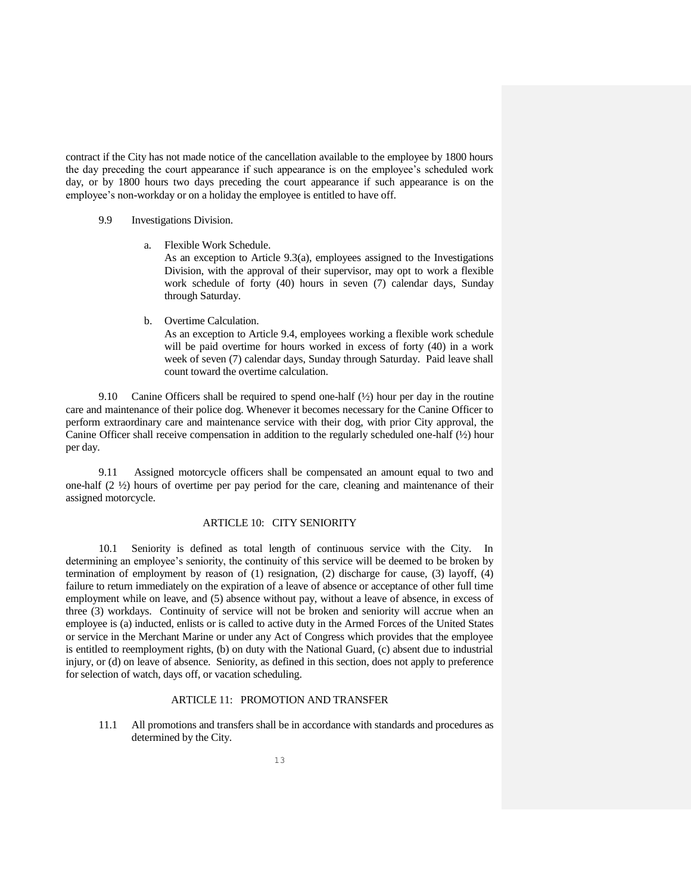contract if the City has not made notice of the cancellation available to the employee by 1800 hours the day preceding the court appearance if such appearance is on the employee's scheduled work day, or by 1800 hours two days preceding the court appearance if such appearance is on the employee's non-workday or on a holiday the employee is entitled to have off.

## 9.9 Investigations Division.

a. Flexible Work Schedule.

As an exception to Article 9.3(a), employees assigned to the Investigations Division, with the approval of their supervisor, may opt to work a flexible work schedule of forty (40) hours in seven (7) calendar days, Sunday through Saturday.

b. Overtime Calculation.

As an exception to Article 9.4, employees working a flexible work schedule will be paid overtime for hours worked in excess of forty (40) in a work week of seven (7) calendar days, Sunday through Saturday. Paid leave shall count toward the overtime calculation.

9.10 Canine Officers shall be required to spend one-half ( $\frac{1}{2}$ ) hour per day in the routine care and maintenance of their police dog. Whenever it becomes necessary for the Canine Officer to perform extraordinary care and maintenance service with their dog, with prior City approval, the Canine Officer shall receive compensation in addition to the regularly scheduled one-half  $(\frac{1}{2})$  hour per day.

9.11 Assigned motorcycle officers shall be compensated an amount equal to two and one-half (2 ½) hours of overtime per pay period for the care, cleaning and maintenance of their assigned motorcycle.

## ARTICLE 10: CITY SENIORITY

10.1 Seniority is defined as total length of continuous service with the City. In determining an employee's seniority, the continuity of this service will be deemed to be broken by termination of employment by reason of (1) resignation, (2) discharge for cause, (3) layoff, (4) failure to return immediately on the expiration of a leave of absence or acceptance of other full time employment while on leave, and (5) absence without pay, without a leave of absence, in excess of three (3) workdays. Continuity of service will not be broken and seniority will accrue when an employee is (a) inducted, enlists or is called to active duty in the Armed Forces of the United States or service in the Merchant Marine or under any Act of Congress which provides that the employee is entitled to reemployment rights, (b) on duty with the National Guard, (c) absent due to industrial injury, or (d) on leave of absence. Seniority, as defined in this section, does not apply to preference for selection of watch, days off, or vacation scheduling.

#### ARTICLE 11: PROMOTION AND TRANSFER

11.1 All promotions and transfers shall be in accordance with standards and procedures as determined by the City.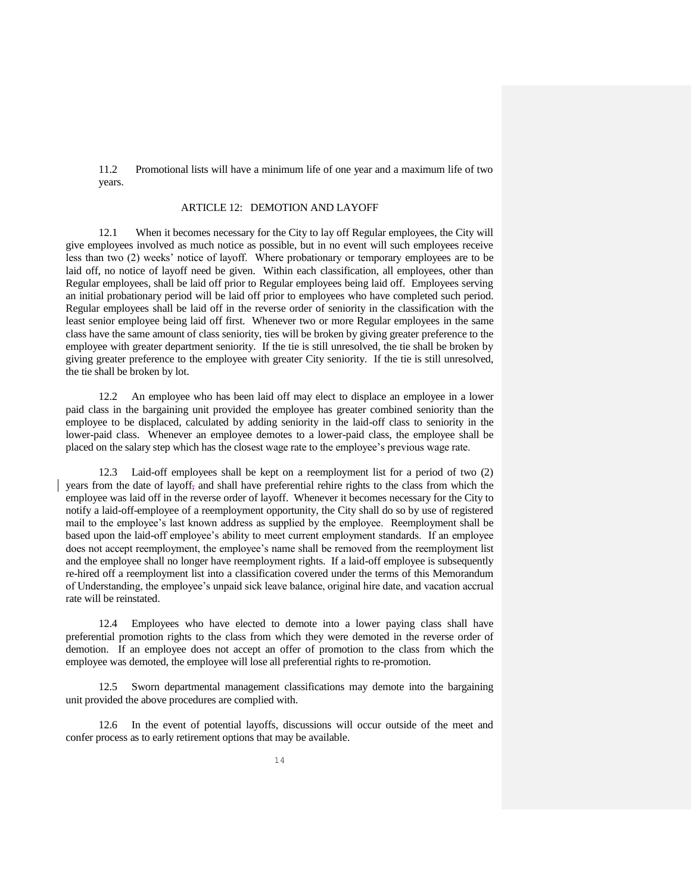11.2 Promotional lists will have a minimum life of one year and a maximum life of two years.

### ARTICLE 12: DEMOTION AND LAYOFF

12.1 When it becomes necessary for the City to lay off Regular employees, the City will give employees involved as much notice as possible, but in no event will such employees receive less than two (2) weeks' notice of layoff. Where probationary or temporary employees are to be laid off, no notice of layoff need be given. Within each classification, all employees, other than Regular employees, shall be laid off prior to Regular employees being laid off. Employees serving an initial probationary period will be laid off prior to employees who have completed such period. Regular employees shall be laid off in the reverse order of seniority in the classification with the least senior employee being laid off first. Whenever two or more Regular employees in the same class have the same amount of class seniority, ties will be broken by giving greater preference to the employee with greater department seniority. If the tie is still unresolved, the tie shall be broken by giving greater preference to the employee with greater City seniority. If the tie is still unresolved, the tie shall be broken by lot.

12.2 An employee who has been laid off may elect to displace an employee in a lower paid class in the bargaining unit provided the employee has greater combined seniority than the employee to be displaced, calculated by adding seniority in the laid-off class to seniority in the lower-paid class. Whenever an employee demotes to a lower-paid class, the employee shall be placed on the salary step which has the closest wage rate to the employee's previous wage rate.

12.3 Laid-off employees shall be kept on a reemployment list for a period of two (2) years from the date of layoff, and shall have preferential rehire rights to the class from which the employee was laid off in the reverse order of layoff. Whenever it becomes necessary for the City to notify a laid-off-employee of a reemployment opportunity, the City shall do so by use of registered mail to the employee's last known address as supplied by the employee. Reemployment shall be based upon the laid-off employee's ability to meet current employment standards. If an employee does not accept reemployment, the employee's name shall be removed from the reemployment list and the employee shall no longer have reemployment rights. If a laid-off employee is subsequently re-hired off a reemployment list into a classification covered under the terms of this Memorandum of Understanding, the employee's unpaid sick leave balance, original hire date, and vacation accrual rate will be reinstated.

12.4 Employees who have elected to demote into a lower paying class shall have preferential promotion rights to the class from which they were demoted in the reverse order of demotion. If an employee does not accept an offer of promotion to the class from which the employee was demoted, the employee will lose all preferential rights to re-promotion.

12.5 Sworn departmental management classifications may demote into the bargaining unit provided the above procedures are complied with.

12.6 In the event of potential layoffs, discussions will occur outside of the meet and confer process as to early retirement options that may be available.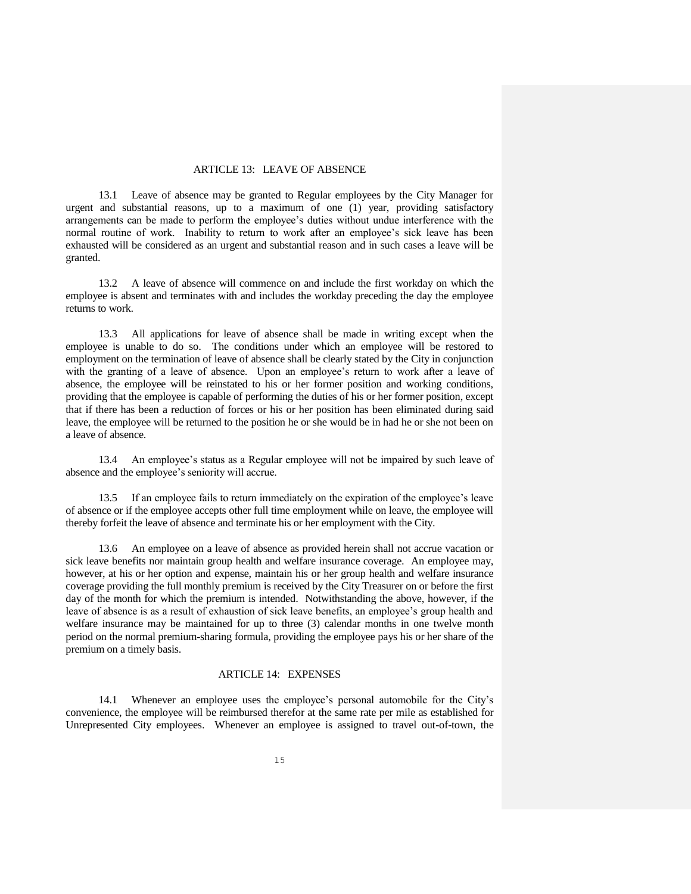#### ARTICLE 13: LEAVE OF ABSENCE

13.1 Leave of absence may be granted to Regular employees by the City Manager for urgent and substantial reasons, up to a maximum of one (1) year, providing satisfactory arrangements can be made to perform the employee's duties without undue interference with the normal routine of work. Inability to return to work after an employee's sick leave has been exhausted will be considered as an urgent and substantial reason and in such cases a leave will be granted.

13.2 A leave of absence will commence on and include the first workday on which the employee is absent and terminates with and includes the workday preceding the day the employee returns to work.

13.3 All applications for leave of absence shall be made in writing except when the employee is unable to do so. The conditions under which an employee will be restored to employment on the termination of leave of absence shall be clearly stated by the City in conjunction with the granting of a leave of absence. Upon an employee's return to work after a leave of absence, the employee will be reinstated to his or her former position and working conditions, providing that the employee is capable of performing the duties of his or her former position, except that if there has been a reduction of forces or his or her position has been eliminated during said leave, the employee will be returned to the position he or she would be in had he or she not been on a leave of absence.

13.4 An employee's status as a Regular employee will not be impaired by such leave of absence and the employee's seniority will accrue.

13.5 If an employee fails to return immediately on the expiration of the employee's leave of absence or if the employee accepts other full time employment while on leave, the employee will thereby forfeit the leave of absence and terminate his or her employment with the City.

13.6 An employee on a leave of absence as provided herein shall not accrue vacation or sick leave benefits nor maintain group health and welfare insurance coverage. An employee may, however, at his or her option and expense, maintain his or her group health and welfare insurance coverage providing the full monthly premium is received by the City Treasurer on or before the first day of the month for which the premium is intended. Notwithstanding the above, however, if the leave of absence is as a result of exhaustion of sick leave benefits, an employee's group health and welfare insurance may be maintained for up to three (3) calendar months in one twelve month period on the normal premium-sharing formula, providing the employee pays his or her share of the premium on a timely basis.

## ARTICLE 14: EXPENSES

14.1 Whenever an employee uses the employee's personal automobile for the City's convenience, the employee will be reimbursed therefor at the same rate per mile as established for Unrepresented City employees. Whenever an employee is assigned to travel out-of-town, the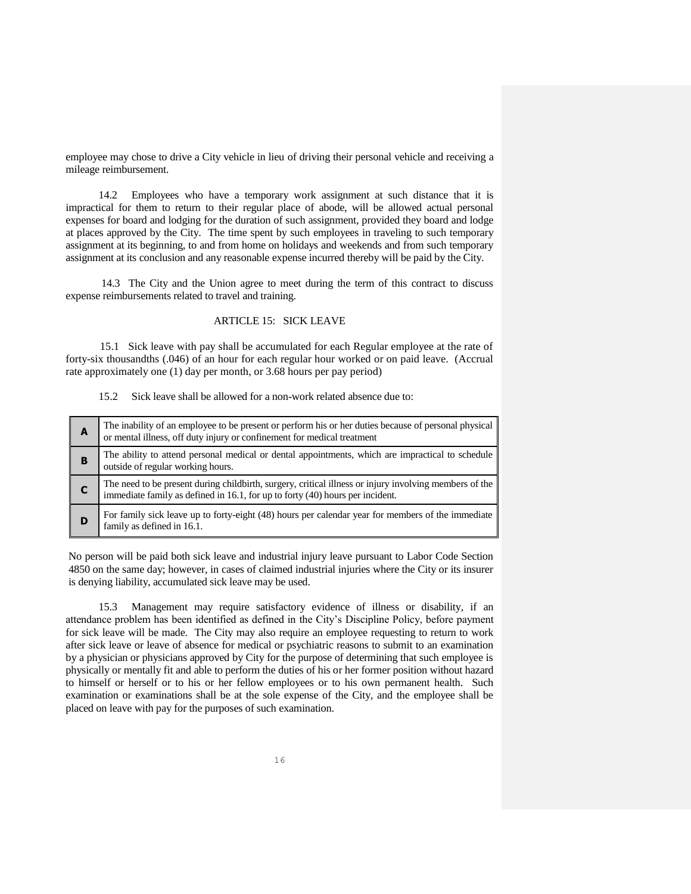employee may chose to drive a City vehicle in lieu of driving their personal vehicle and receiving a mileage reimbursement.

14.2 Employees who have a temporary work assignment at such distance that it is impractical for them to return to their regular place of abode, will be allowed actual personal expenses for board and lodging for the duration of such assignment, provided they board and lodge at places approved by the City. The time spent by such employees in traveling to such temporary assignment at its beginning, to and from home on holidays and weekends and from such temporary assignment at its conclusion and any reasonable expense incurred thereby will be paid by the City.

14.3 The City and the Union agree to meet during the term of this contract to discuss expense reimbursements related to travel and training.

#### ARTICLE 15: SICK LEAVE

 15.1 Sick leave with pay shall be accumulated for each Regular employee at the rate of forty-six thousandths (.046) of an hour for each regular hour worked or on paid leave. (Accrual rate approximately one (1) day per month, or 3.68 hours per pay period)

#### 15.2 Sick leave shall be allowed for a non-work related absence due to:

| A | The inability of an employee to be present or perform his or her duties because of personal physical<br>or mental illness, off duty injury or confinement for medical treatment      |
|---|--------------------------------------------------------------------------------------------------------------------------------------------------------------------------------------|
| в | The ability to attend personal medical or dental appointments, which are impractical to schedule<br>outside of regular working hours.                                                |
|   | The need to be present during childbirth, surgery, critical illness or injury involving members of the immediate family as defined in 16.1, for up to forty (40) hours per incident. |
| D | For family sick leave up to forty-eight (48) hours per calendar year for members of the immediate<br>family as defined in 16.1.                                                      |

No person will be paid both sick leave and industrial injury leave pursuant to Labor Code Section 4850 on the same day; however, in cases of claimed industrial injuries where the City or its insurer is denying liability, accumulated sick leave may be used.

15.3 Management may require satisfactory evidence of illness or disability, if an attendance problem has been identified as defined in the City's Discipline Policy, before payment for sick leave will be made. The City may also require an employee requesting to return to work after sick leave or leave of absence for medical or psychiatric reasons to submit to an examination by a physician or physicians approved by City for the purpose of determining that such employee is physically or mentally fit and able to perform the duties of his or her former position without hazard to himself or herself or to his or her fellow employees or to his own permanent health. Such examination or examinations shall be at the sole expense of the City, and the employee shall be placed on leave with pay for the purposes of such examination.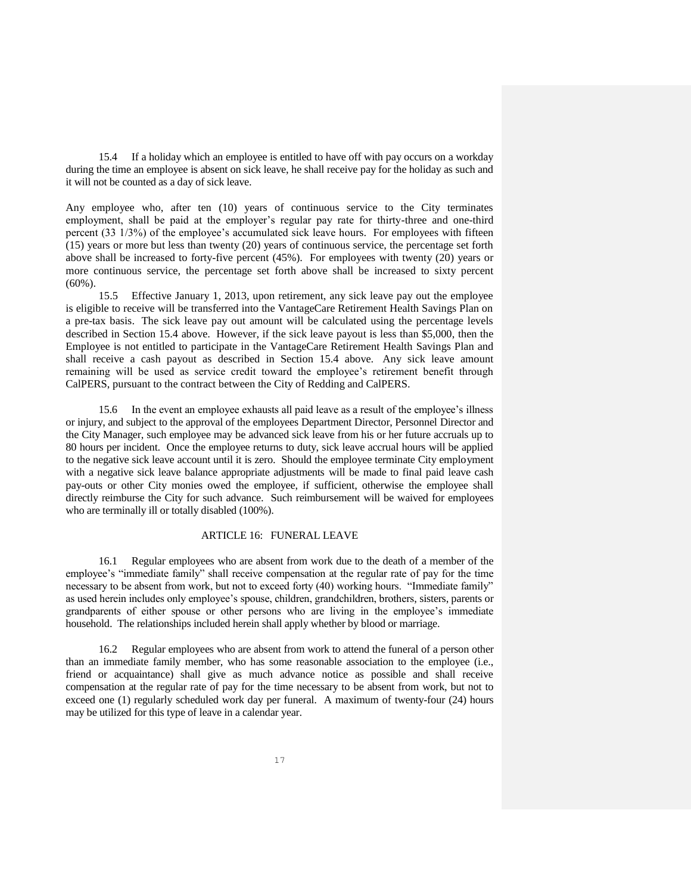15.4 If a holiday which an employee is entitled to have off with pay occurs on a workday during the time an employee is absent on sick leave, he shall receive pay for the holiday as such and it will not be counted as a day of sick leave.

Any employee who, after ten (10) years of continuous service to the City terminates employment, shall be paid at the employer's regular pay rate for thirty-three and one-third percent (33 1/3%) of the employee's accumulated sick leave hours. For employees with fifteen (15) years or more but less than twenty (20) years of continuous service, the percentage set forth above shall be increased to forty-five percent (45%). For employees with twenty (20) years or more continuous service, the percentage set forth above shall be increased to sixty percent (60%).

15.5 Effective January 1, 2013, upon retirement, any sick leave pay out the employee is eligible to receive will be transferred into the VantageCare Retirement Health Savings Plan on a pre-tax basis. The sick leave pay out amount will be calculated using the percentage levels described in Section 15.4 above. However, if the sick leave payout is less than \$5,000, then the Employee is not entitled to participate in the VantageCare Retirement Health Savings Plan and shall receive a cash payout as described in Section 15.4 above. Any sick leave amount remaining will be used as service credit toward the employee's retirement benefit through CalPERS, pursuant to the contract between the City of Redding and CalPERS.

15.6 In the event an employee exhausts all paid leave as a result of the employee's illness or injury, and subject to the approval of the employees Department Director, Personnel Director and the City Manager, such employee may be advanced sick leave from his or her future accruals up to 80 hours per incident. Once the employee returns to duty, sick leave accrual hours will be applied to the negative sick leave account until it is zero. Should the employee terminate City employment with a negative sick leave balance appropriate adjustments will be made to final paid leave cash pay-outs or other City monies owed the employee, if sufficient, otherwise the employee shall directly reimburse the City for such advance. Such reimbursement will be waived for employees who are terminally ill or totally disabled (100%).

#### ARTICLE 16: FUNERAL LEAVE

16.1 Regular employees who are absent from work due to the death of a member of the employee's "immediate family" shall receive compensation at the regular rate of pay for the time necessary to be absent from work, but not to exceed forty (40) working hours. "Immediate family" as used herein includes only employee's spouse, children, grandchildren, brothers, sisters, parents or grandparents of either spouse or other persons who are living in the employee's immediate household. The relationships included herein shall apply whether by blood or marriage.

16.2 Regular employees who are absent from work to attend the funeral of a person other than an immediate family member, who has some reasonable association to the employee (i.e., friend or acquaintance) shall give as much advance notice as possible and shall receive compensation at the regular rate of pay for the time necessary to be absent from work, but not to exceed one (1) regularly scheduled work day per funeral. A maximum of twenty-four (24) hours may be utilized for this type of leave in a calendar year.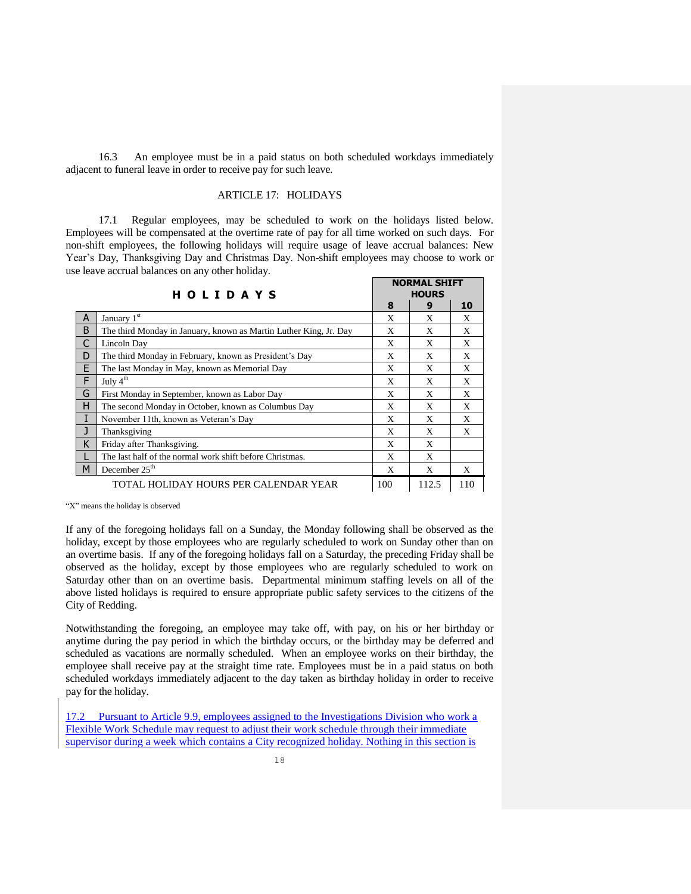16.3 An employee must be in a paid status on both scheduled workdays immediately adjacent to funeral leave in order to receive pay for such leave.

## ARTICLE 17: HOLIDAYS

17.1 Regular employees, may be scheduled to work on the holidays listed below. Employees will be compensated at the overtime rate of pay for all time worked on such days. For non-shift employees, the following holidays will require usage of leave accrual balances: New Year's Day, Thanksgiving Day and Christmas Day. Non-shift employees may choose to work or use leave accrual balances on any other holiday.

|   | <b>HOLIDAYS</b>                                                   |     | <b>NORMAL SHIFT</b><br><b>HOURS</b> |     |
|---|-------------------------------------------------------------------|-----|-------------------------------------|-----|
|   |                                                                   | 8   | 9                                   | 10  |
| A | January 1st                                                       | X   | X                                   | X   |
| B | The third Monday in January, known as Martin Luther King, Jr. Day | X   | X                                   | X   |
| C | Lincoln Day                                                       | X   | X                                   | X   |
| D | The third Monday in February, known as President's Day            | X   | X                                   | X   |
| E | The last Monday in May, known as Memorial Day                     | X   | X                                   | X   |
| F | July $4th$                                                        | X   | X                                   | X   |
| G | First Monday in September, known as Labor Day                     | X   | X                                   | X   |
| Н | The second Monday in October, known as Columbus Day               | X   | X                                   | X   |
| I | November 11th, known as Veteran's Day                             | X   | X                                   | X   |
| J | Thanksgiving                                                      | X   | X                                   | X   |
| K | Friday after Thanksgiving.                                        | X   | X                                   |     |
|   | The last half of the normal work shift before Christmas.          | X   | X                                   |     |
| M | December $25th$                                                   | X   | X                                   | X   |
|   | TOTAL HOLIDAY HOURS PER CALENDAR YEAR                             | 100 | 112.5                               | 110 |

"X" means the holiday is observed

If any of the foregoing holidays fall on a Sunday, the Monday following shall be observed as the holiday, except by those employees who are regularly scheduled to work on Sunday other than on an overtime basis. If any of the foregoing holidays fall on a Saturday, the preceding Friday shall be observed as the holiday, except by those employees who are regularly scheduled to work on Saturday other than on an overtime basis. Departmental minimum staffing levels on all of the above listed holidays is required to ensure appropriate public safety services to the citizens of the City of Redding.

Notwithstanding the foregoing, an employee may take off, with pay, on his or her birthday or anytime during the pay period in which the birthday occurs, or the birthday may be deferred and scheduled as vacations are normally scheduled. When an employee works on their birthday, the employee shall receive pay at the straight time rate. Employees must be in a paid status on both scheduled workdays immediately adjacent to the day taken as birthday holiday in order to receive pay for the holiday.

17.2 Pursuant to Article 9.9, employees assigned to the Investigations Division who work a Flexible Work Schedule may request to adjust their work schedule through their immediate supervisor during a week which contains a City recognized holiday. Nothing in this section is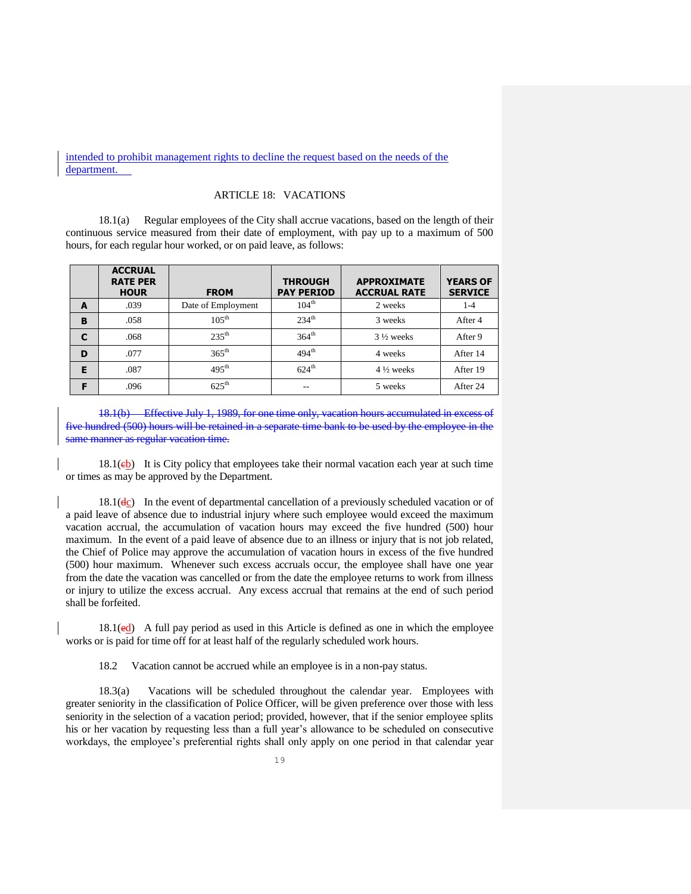intended to prohibit management rights to decline the request based on the needs of the department.

## ARTICLE 18: VACATIONS

18.1(a) Regular employees of the City shall accrue vacations, based on the length of their continuous service measured from their date of employment, with pay up to a maximum of 500 hours, for each regular hour worked, or on paid leave, as follows:

|   | <b>ACCRUAL</b><br><b>RATE PER</b><br><b>HOUR</b> | <b>FROM</b>                            | <b>THROUGH</b><br><b>PAY PERIOD</b> | <b>APPROXIMATE</b><br><b>ACCRUAL RATE</b> | <b>YEARS OF</b><br><b>SERVICE</b> |
|---|--------------------------------------------------|----------------------------------------|-------------------------------------|-------------------------------------------|-----------------------------------|
| A | .039                                             | Date of Employment                     | $104^{\text{th}}$                   | 2 weeks                                   | $1 - 4$                           |
| B | .058                                             | $105^{\text{th}}$                      | 234 <sup>th</sup><br>3 weeks        |                                           | After 4                           |
| C | .068                                             | $235^{\text{th}}$<br>364 <sup>th</sup> |                                     | $3\frac{1}{2}$ weeks                      | After 9                           |
| D | .077                                             | $365^{\text{th}}$                      | 494 <sup>th</sup>                   | 4 weeks                                   | After 14                          |
| Е | .087                                             | $495^{\text{th}}$                      | $624^{\text{th}}$                   | $4\frac{1}{2}$ weeks                      | After 19                          |
| F | .096                                             | $625^{\text{th}}$                      | --                                  | 5 weeks                                   | After 24                          |

18.1(b) Effective July 1, 1989, for one time only, vacation hours accumulated in exce five hundred (500) hours will be retained in a separate time bank to be used by the employee in the same manner as regular vacation time.

 $18.1(eb)$  It is City policy that employees take their normal vacation each year at such time or times as may be approved by the Department.

 $18.1(\text{dc})$  In the event of departmental cancellation of a previously scheduled vacation or of a paid leave of absence due to industrial injury where such employee would exceed the maximum vacation accrual, the accumulation of vacation hours may exceed the five hundred (500) hour maximum. In the event of a paid leave of absence due to an illness or injury that is not job related, the Chief of Police may approve the accumulation of vacation hours in excess of the five hundred (500) hour maximum. Whenever such excess accruals occur, the employee shall have one year from the date the vacation was cancelled or from the date the employee returns to work from illness or injury to utilize the excess accrual. Any excess accrual that remains at the end of such period shall be forfeited.

 $18.1(\text{ed})$  A full pay period as used in this Article is defined as one in which the employee works or is paid for time off for at least half of the regularly scheduled work hours.

18.2 Vacation cannot be accrued while an employee is in a non-pay status.

18.3(a) Vacations will be scheduled throughout the calendar year. Employees with greater seniority in the classification of Police Officer, will be given preference over those with less seniority in the selection of a vacation period; provided, however, that if the senior employee splits his or her vacation by requesting less than a full year's allowance to be scheduled on consecutive workdays, the employee's preferential rights shall only apply on one period in that calendar year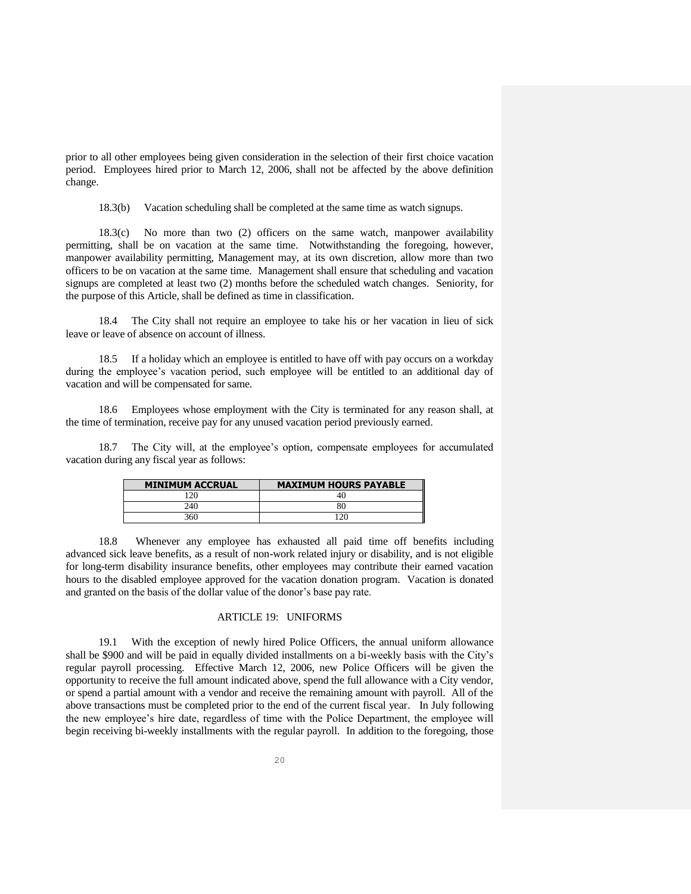prior to all other employees being given consideration in the selection of their first choice vacation period. Employees hired prior to March 12, 2006, shall not be affected by the above definition change.

18.3(b) Vacation scheduling shall be completed at the same time as watch signups.

18.3(c) No more than two (2) officers on the same watch, manpower availability permitting, shall be on vacation at the same time. Notwithstanding the foregoing, however, manpower availability permitting, Management may, at its own discretion, allow more than two officers to be on vacation at the same time. Management shall ensure that scheduling and vacation signups are completed at least two (2) months before the scheduled watch changes. Seniority, for the purpose of this Article, shall be defined as time in classification.

18.4 The City shall not require an employee to take his or her vacation in lieu of sick leave or leave of absence on account of illness.

18.5 If a holiday which an employee is entitled to have off with pay occurs on a workday during the employee's vacation period, such employee will be entitled to an additional day of vacation and will be compensated for same.

18.6 Employees whose employment with the City is terminated for any reason shall, at the time of termination, receive pay for any unused vacation period previously earned.

18.7 The City will, at the employee's option, compensate employees for accumulated vacation during any fiscal year as follows:

| <b>MINIMUM ACCRUAL</b> | <b>MAXIMUM HOURS PAYABLE</b> |
|------------------------|------------------------------|
| ı 20                   | 40                           |
| 240                    |                              |
| 360                    |                              |

18.8 Whenever any employee has exhausted all paid time off benefits including advanced sick leave benefits, as a result of non-work related injury or disability, and is not eligible for long-term disability insurance benefits, other employees may contribute their earned vacation hours to the disabled employee approved for the vacation donation program. Vacation is donated and granted on the basis of the dollar value of the donor's base pay rate.

#### ARTICLE 19: UNIFORMS

19.1 With the exception of newly hired Police Officers, the annual uniform allowance shall be \$900 and will be paid in equally divided installments on a bi-weekly basis with the City's regular payroll processing. Effective March 12, 2006, new Police Officers will be given the opportunity to receive the full amount indicated above, spend the full allowance with a City vendor, or spend a partial amount with a vendor and receive the remaining amount with payroll. All of the above transactions must be completed prior to the end of the current fiscal year. In July following the new employee's hire date, regardless of time with the Police Department, the employee will begin receiving bi-weekly installments with the regular payroll. In addition to the foregoing, those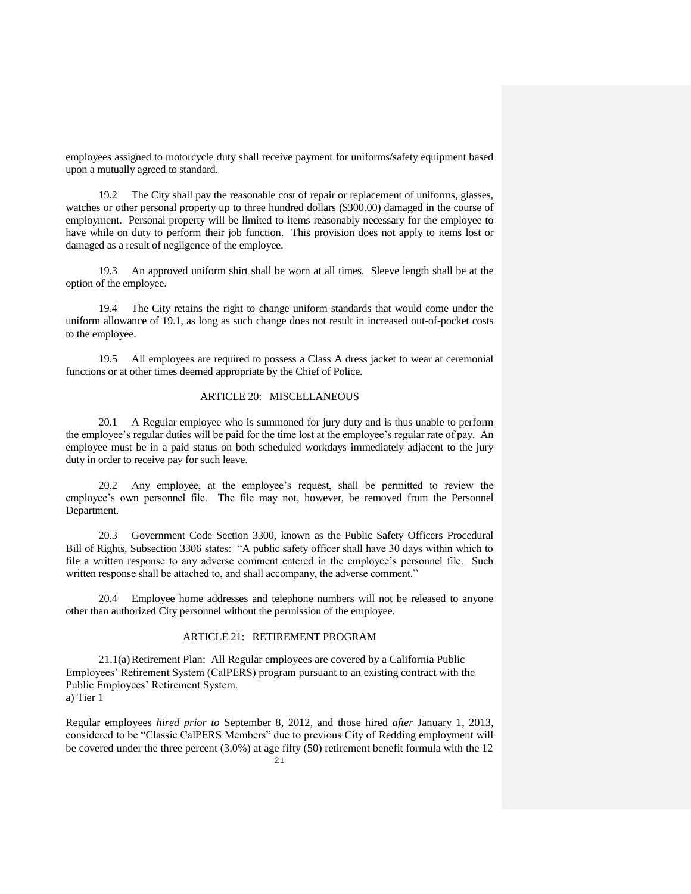employees assigned to motorcycle duty shall receive payment for uniforms/safety equipment based upon a mutually agreed to standard.

19.2 The City shall pay the reasonable cost of repair or replacement of uniforms, glasses, watches or other personal property up to three hundred dollars (\$300.00) damaged in the course of employment. Personal property will be limited to items reasonably necessary for the employee to have while on duty to perform their job function. This provision does not apply to items lost or damaged as a result of negligence of the employee.

19.3 An approved uniform shirt shall be worn at all times. Sleeve length shall be at the option of the employee.

19.4 The City retains the right to change uniform standards that would come under the uniform allowance of 19.1, as long as such change does not result in increased out-of-pocket costs to the employee.

19.5 All employees are required to possess a Class A dress jacket to wear at ceremonial functions or at other times deemed appropriate by the Chief of Police.

## ARTICLE 20: MISCELLANEOUS

20.1 A Regular employee who is summoned for jury duty and is thus unable to perform the employee's regular duties will be paid for the time lost at the employee's regular rate of pay. An employee must be in a paid status on both scheduled workdays immediately adjacent to the jury duty in order to receive pay for such leave.

20.2 Any employee, at the employee's request, shall be permitted to review the employee's own personnel file. The file may not, however, be removed from the Personnel Department.

20.3 Government Code Section 3300, known as the Public Safety Officers Procedural Bill of Rights, Subsection 3306 states: "A public safety officer shall have 30 days within which to file a written response to any adverse comment entered in the employee's personnel file. Such written response shall be attached to, and shall accompany, the adverse comment."

20.4 Employee home addresses and telephone numbers will not be released to anyone other than authorized City personnel without the permission of the employee.

## ARTICLE 21: RETIREMENT PROGRAM

21.1(a)Retirement Plan: All Regular employees are covered by a California Public Employees' Retirement System (CalPERS) program pursuant to an existing contract with the Public Employees' Retirement System. a) Tier 1

Regular employees *hired prior to* September 8, 2012, and those hired *after* January 1, 2013, considered to be "Classic CalPERS Members" due to previous City of Redding employment will be covered under the three percent (3.0%) at age fifty (50) retirement benefit formula with the 12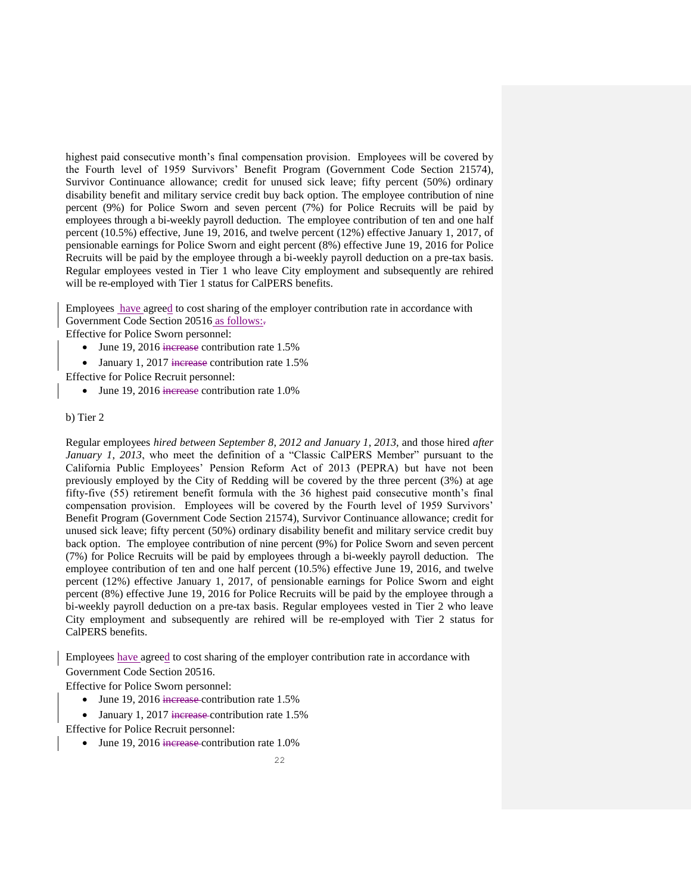highest paid consecutive month's final compensation provision. Employees will be covered by the Fourth level of 1959 Survivors' Benefit Program (Government Code Section 21574), Survivor Continuance allowance; credit for unused sick leave; fifty percent (50%) ordinary disability benefit and military service credit buy back option. The employee contribution of nine percent (9%) for Police Sworn and seven percent (7%) for Police Recruits will be paid by employees through a bi-weekly payroll deduction. The employee contribution of ten and one half percent (10.5%) effective, June 19, 2016, and twelve percent (12%) effective January 1, 2017, of pensionable earnings for Police Sworn and eight percent (8%) effective June 19, 2016 for Police Recruits will be paid by the employee through a bi-weekly payroll deduction on a pre-tax basis. Regular employees vested in Tier 1 who leave City employment and subsequently are rehired will be re-employed with Tier 1 status for CalPERS benefits.

Employees have agreed to cost sharing of the employer contribution rate in accordance with Government Code Section 20516 as follows:.

Effective for Police Sworn personnel:

- June 19, 2016 increase contribution rate 1.5%
- January 1, 2017 increase contribution rate 1.5%

Effective for Police Recruit personnel:

• June 19, 2016 increase contribution rate  $1.0\%$ 

#### b) Tier 2

Regular employees *hired between September 8*, *2012 and January 1*, *2013*, and those hired *after January 1*, *2013*, who meet the definition of a "Classic CalPERS Member" pursuant to the California Public Employees' Pension Reform Act of 2013 (PEPRA) but have not been previously employed by the City of Redding will be covered by the three percent (3%) at age fifty-five (55) retirement benefit formula with the 36 highest paid consecutive month's final compensation provision. Employees will be covered by the Fourth level of 1959 Survivors' Benefit Program (Government Code Section 21574), Survivor Continuance allowance; credit for unused sick leave; fifty percent (50%) ordinary disability benefit and military service credit buy back option. The employee contribution of nine percent (9%) for Police Sworn and seven percent (7%) for Police Recruits will be paid by employees through a bi-weekly payroll deduction. The employee contribution of ten and one half percent (10.5%) effective June 19, 2016, and twelve percent (12%) effective January 1, 2017, of pensionable earnings for Police Sworn and eight percent (8%) effective June 19, 2016 for Police Recruits will be paid by the employee through a bi-weekly payroll deduction on a pre-tax basis. Regular employees vested in Tier 2 who leave City employment and subsequently are rehired will be re-employed with Tier 2 status for CalPERS benefits.

Employees have agreed to cost sharing of the employer contribution rate in accordance with Government Code Section 20516.

Effective for Police Sworn personnel:

- June 19, 2016 increase contribution rate 1.5%
- January 1, 2017 increase contribution rate 1.5% Effective for Police Recruit personnel:
	- June 19, 2016 increase contribution rate 1.0%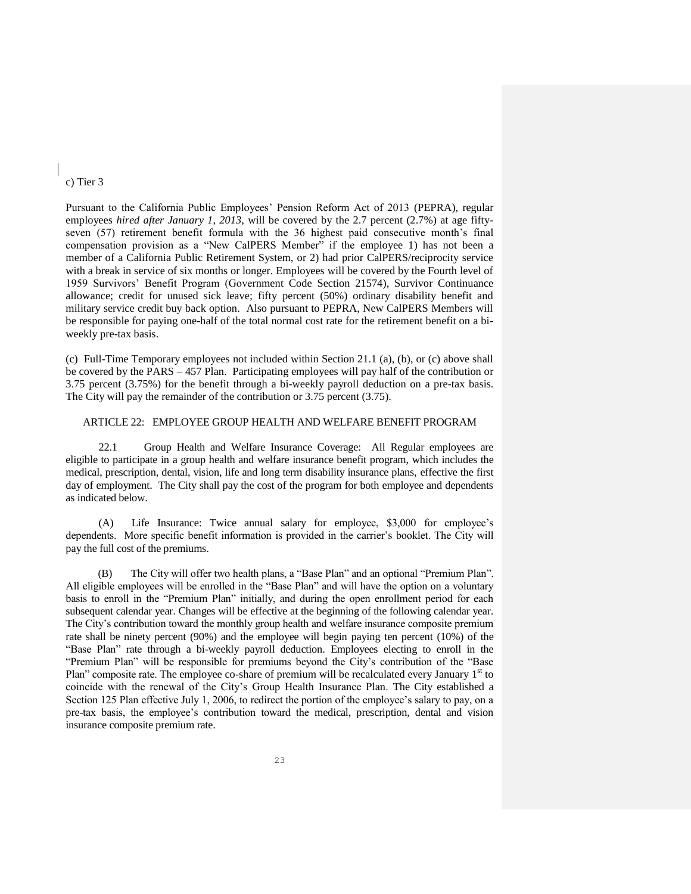#### c) Tier 3

Pursuant to the California Public Employees' Pension Reform Act of 2013 (PEPRA), regular employees *hired after January 1*, *2013*, will be covered by the 2.7 percent (2.7%) at age fiftyseven (57) retirement benefit formula with the 36 highest paid consecutive month's final compensation provision as a "New CalPERS Member" if the employee 1) has not been a member of a California Public Retirement System, or 2) had prior CalPERS/reciprocity service with a break in service of six months or longer. Employees will be covered by the Fourth level of 1959 Survivors' Benefit Program (Government Code Section 21574), Survivor Continuance allowance; credit for unused sick leave; fifty percent (50%) ordinary disability benefit and military service credit buy back option. Also pursuant to PEPRA, New CalPERS Members will be responsible for paying one-half of the total normal cost rate for the retirement benefit on a biweekly pre-tax basis.

(c) Full-Time Temporary employees not included within Section 21.1 (a), (b), or (c) above shall be covered by the PARS – 457 Plan. Participating employees will pay half of the contribution or 3.75 percent (3.75%) for the benefit through a bi-weekly payroll deduction on a pre-tax basis. The City will pay the remainder of the contribution or 3.75 percent (3.75).

## ARTICLE 22: EMPLOYEE GROUP HEALTH AND WELFARE BENEFIT PROGRAM

22.1 Group Health and Welfare Insurance Coverage: All Regular employees are eligible to participate in a group health and welfare insurance benefit program, which includes the medical, prescription, dental, vision, life and long term disability insurance plans, effective the first day of employment. The City shall pay the cost of the program for both employee and dependents as indicated below.

(A) Life Insurance: Twice annual salary for employee, \$3,000 for employee's dependents. More specific benefit information is provided in the carrier's booklet. The City will pay the full cost of the premiums.

 (B) The City will offer two health plans, a "Base Plan" and an optional "Premium Plan". All eligible employees will be enrolled in the "Base Plan" and will have the option on a voluntary basis to enroll in the "Premium Plan" initially, and during the open enrollment period for each subsequent calendar year. Changes will be effective at the beginning of the following calendar year. The City's contribution toward the monthly group health and welfare insurance composite premium rate shall be ninety percent (90%) and the employee will begin paying ten percent (10%) of the "Base Plan" rate through a bi-weekly payroll deduction. Employees electing to enroll in the "Premium Plan" will be responsible for premiums beyond the City's contribution of the "Base Plan" composite rate. The employee co-share of premium will be recalculated every January 1<sup>st</sup> to coincide with the renewal of the City's Group Health Insurance Plan. The City established a Section 125 Plan effective July 1, 2006, to redirect the portion of the employee's salary to pay, on a pre-tax basis, the employee's contribution toward the medical, prescription, dental and vision insurance composite premium rate.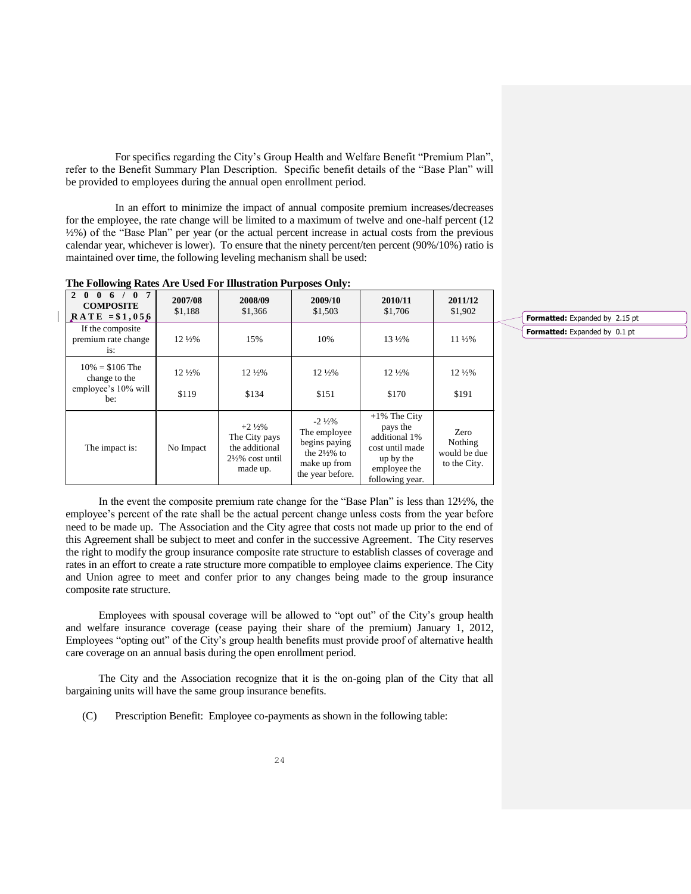For specifics regarding the City's Group Health and Welfare Benefit "Premium Plan", refer to the Benefit Summary Plan Description. Specific benefit details of the "Base Plan" will be provided to employees during the annual open enrollment period.

In an effort to minimize the impact of annual composite premium increases/decreases for the employee, the rate change will be limited to a maximum of twelve and one-half percent (12 ½%) of the "Base Plan" per year (or the actual percent increase in actual costs from the previous calendar year, whichever is lower). To ensure that the ninety percent/ten percent (90%/10%) ratio is maintained over time, the following leveling mechanism shall be used:

| $\overline{7}$<br>$\mathbf{0}$<br>$\mathfrak{D}$<br>$\mathbf{0}$<br>$\mathbf{0}$<br>6 <sup>6</sup><br><b>COMPOSITE</b><br>$RATE = $1,056$ | 2007/08<br>\$1,188         | 2008/09<br>\$1,366                                                                              | 2009/10<br>\$1,503                                                                                                | 2010/11<br>\$1,706                                                                                              | 2011/12<br>\$1,902                              |
|-------------------------------------------------------------------------------------------------------------------------------------------|----------------------------|-------------------------------------------------------------------------------------------------|-------------------------------------------------------------------------------------------------------------------|-----------------------------------------------------------------------------------------------------------------|-------------------------------------------------|
| If the composite<br>premium rate change<br>is:                                                                                            | $12\frac{1}{2}\%$          | 15%                                                                                             | 10%                                                                                                               | $13\frac{1}{2}\%$                                                                                               | $11\frac{1}{2}\%$                               |
| $10\% = $106$ The<br>change to the<br>employee's 10% will<br>be:                                                                          | $12\frac{1}{2}\%$<br>\$119 | $12\frac{1}{2}\%$<br>\$134                                                                      | $12\frac{1}{2}\%$<br>\$151                                                                                        | $12\frac{1}{2}\%$<br>\$170                                                                                      | $12\frac{1}{2}\%$<br>\$191                      |
| The impact is:                                                                                                                            | No Impact                  | $+2\frac{1}{2}\%$<br>The City pays<br>the additional<br>$2\frac{1}{2}\%$ cost until<br>made up. | $-2\frac{1}{2}\%$<br>The employee<br>begins paying<br>the $2\frac{1}{2}\%$ to<br>make up from<br>the year before. | $+1\%$ The City<br>pays the<br>additional 1%<br>cost until made<br>up by the<br>employee the<br>following year. | Zero<br>Nothing<br>would be due<br>to the City. |

**The Following Rates Are Used For Illustration Purposes Only:**

In the event the composite premium rate change for the "Base Plan" is less than 12½%, the employee's percent of the rate shall be the actual percent change unless costs from the year before need to be made up. The Association and the City agree that costs not made up prior to the end of this Agreement shall be subject to meet and confer in the successive Agreement. The City reserves the right to modify the group insurance composite rate structure to establish classes of coverage and rates in an effort to create a rate structure more compatible to employee claims experience. The City and Union agree to meet and confer prior to any changes being made to the group insurance composite rate structure.

Employees with spousal coverage will be allowed to "opt out" of the City's group health and welfare insurance coverage (cease paying their share of the premium) January 1, 2012, Employees "opting out" of the City's group health benefits must provide proof of alternative health care coverage on an annual basis during the open enrollment period.

The City and the Association recognize that it is the on-going plan of the City that all bargaining units will have the same group insurance benefits.

(C) Prescription Benefit: Employee co-payments as shown in the following table:

**Formatted:** Expanded by 2.15 pt **Formatted:** Expanded by 0.1 pt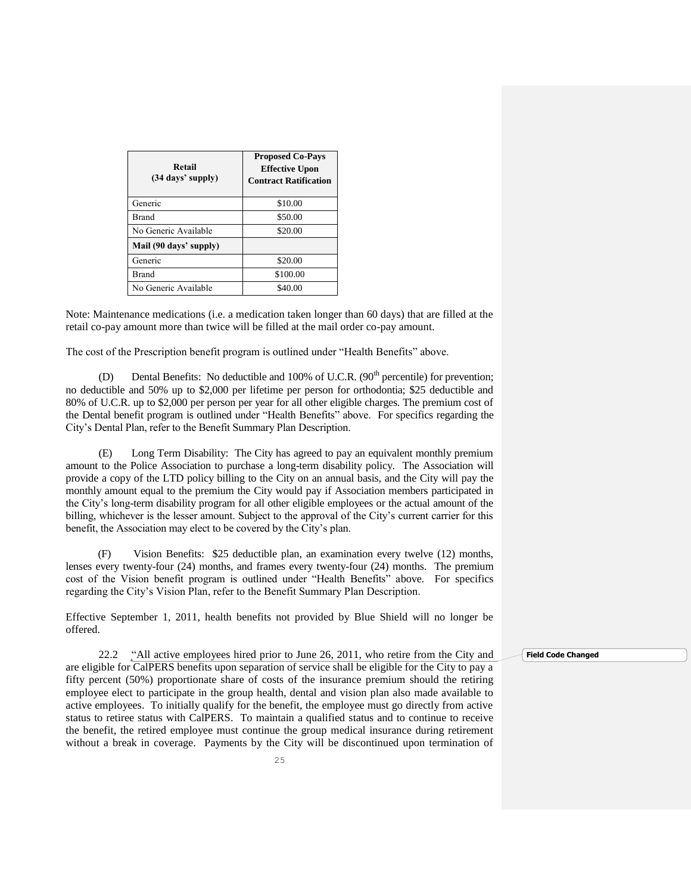| Retail<br>$(34 \text{ days}^{\prime} \text{ supply})$ | <b>Proposed Co-Pays</b><br><b>Effective Upon</b><br><b>Contract Ratification</b> |  |  |
|-------------------------------------------------------|----------------------------------------------------------------------------------|--|--|
| Generic                                               | \$10.00                                                                          |  |  |
| Brand                                                 | \$50.00                                                                          |  |  |
| No Generic Available                                  | \$20.00                                                                          |  |  |
| Mail (90 days' supply)                                |                                                                                  |  |  |
| Generic                                               | \$20.00                                                                          |  |  |
| Brand                                                 | \$100.00                                                                         |  |  |
| No Generic Available                                  | \$40.00                                                                          |  |  |

Note: Maintenance medications (i.e. a medication taken longer than 60 days) that are filled at the retail co-pay amount more than twice will be filled at the mail order co-pay amount.

The cost of the Prescription benefit program is outlined under "Health Benefits" above.

(D) Dental Benefits: No deductible and 100% of U.C.R.  $(90<sup>th</sup>$  percentile) for prevention; no deductible and 50% up to \$2,000 per lifetime per person for orthodontia; \$25 deductible and 80% of U.C.R. up to \$2,000 per person per year for all other eligible charges. The premium cost of the Dental benefit program is outlined under "Health Benefits" above. For specifics regarding the City's Dental Plan, refer to the Benefit Summary Plan Description.

(E) Long Term Disability: The City has agreed to pay an equivalent monthly premium amount to the Police Association to purchase a long-term disability policy. The Association will provide a copy of the LTD policy billing to the City on an annual basis, and the City will pay the monthly amount equal to the premium the City would pay if Association members participated in the City's long-term disability program for all other eligible employees or the actual amount of the billing, whichever is the lesser amount. Subject to the approval of the City's current carrier for this benefit, the Association may elect to be covered by the City's plan.

 (F) Vision Benefits: \$25 deductible plan, an examination every twelve (12) months, lenses every twenty-four (24) months, and frames every twenty-four (24) months. The premium cost of the Vision benefit program is outlined under "Health Benefits" above. For specifics regarding the City's Vision Plan, refer to the Benefit Summary Plan Description.

Effective September 1, 2011, health benefits not provided by Blue Shield will no longer be offered.

22.2 "All active employees hired prior to June 26, 2011, who retire from the City and are eligible for CalPERS benefits upon separation of service shall be eligible for the City to pay a fifty percent (50%) proportionate share of costs of the insurance premium should the retiring employee elect to participate in the group health, dental and vision plan also made available to active employees. To initially qualify for the benefit, the employee must go directly from active status to retiree status with CalPERS. To maintain a qualified status and to continue to receive the benefit, the retired employee must continue the group medical insurance during retirement without a break in coverage. Payments by the City will be discontinued upon termination of

25

**Field Code Changed**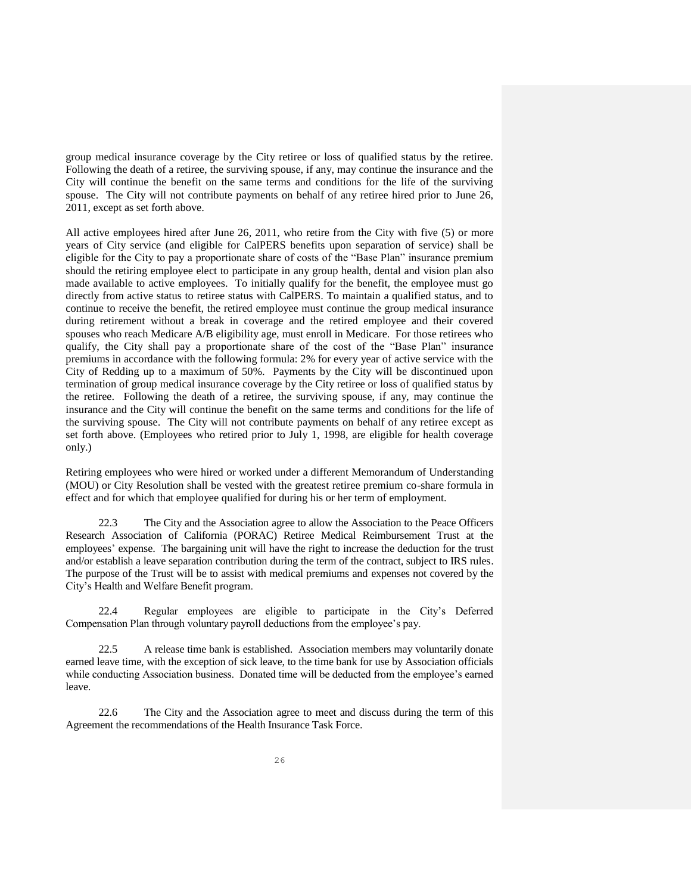group medical insurance coverage by the City retiree or loss of qualified status by the retiree. Following the death of a retiree, the surviving spouse, if any, may continue the insurance and the City will continue the benefit on the same terms and conditions for the life of the surviving spouse. The City will not contribute payments on behalf of any retiree hired prior to June 26, 2011, except as set forth above.

All active employees hired after June 26, 2011, who retire from the City with five (5) or more years of City service (and eligible for CalPERS benefits upon separation of service) shall be eligible for the City to pay a proportionate share of costs of the "Base Plan" insurance premium should the retiring employee elect to participate in any group health, dental and vision plan also made available to active employees. To initially qualify for the benefit, the employee must go directly from active status to retiree status with CalPERS. To maintain a qualified status, and to continue to receive the benefit, the retired employee must continue the group medical insurance during retirement without a break in coverage and the retired employee and their covered spouses who reach Medicare A/B eligibility age, must enroll in Medicare. For those retirees who qualify, the City shall pay a proportionate share of the cost of the "Base Plan" insurance premiums in accordance with the following formula: 2% for every year of active service with the City of Redding up to a maximum of 50%. Payments by the City will be discontinued upon termination of group medical insurance coverage by the City retiree or loss of qualified status by the retiree. Following the death of a retiree, the surviving spouse, if any, may continue the insurance and the City will continue the benefit on the same terms and conditions for the life of the surviving spouse. The City will not contribute payments on behalf of any retiree except as set forth above. (Employees who retired prior to July 1, 1998, are eligible for health coverage only.)

Retiring employees who were hired or worked under a different Memorandum of Understanding (MOU) or City Resolution shall be vested with the greatest retiree premium co-share formula in effect and for which that employee qualified for during his or her term of employment.

22.3 The City and the Association agree to allow the Association to the Peace Officers Research Association of California (PORAC) Retiree Medical Reimbursement Trust at the employees' expense. The bargaining unit will have the right to increase the deduction for the trust and/or establish a leave separation contribution during the term of the contract, subject to IRS rules. The purpose of the Trust will be to assist with medical premiums and expenses not covered by the City's Health and Welfare Benefit program.

22.4 Regular employees are eligible to participate in the City's Deferred Compensation Plan through voluntary payroll deductions from the employee's pay.

22.5 A release time bank is established. Association members may voluntarily donate earned leave time, with the exception of sick leave, to the time bank for use by Association officials while conducting Association business. Donated time will be deducted from the employee's earned leave.

22.6 The City and the Association agree to meet and discuss during the term of this Agreement the recommendations of the Health Insurance Task Force.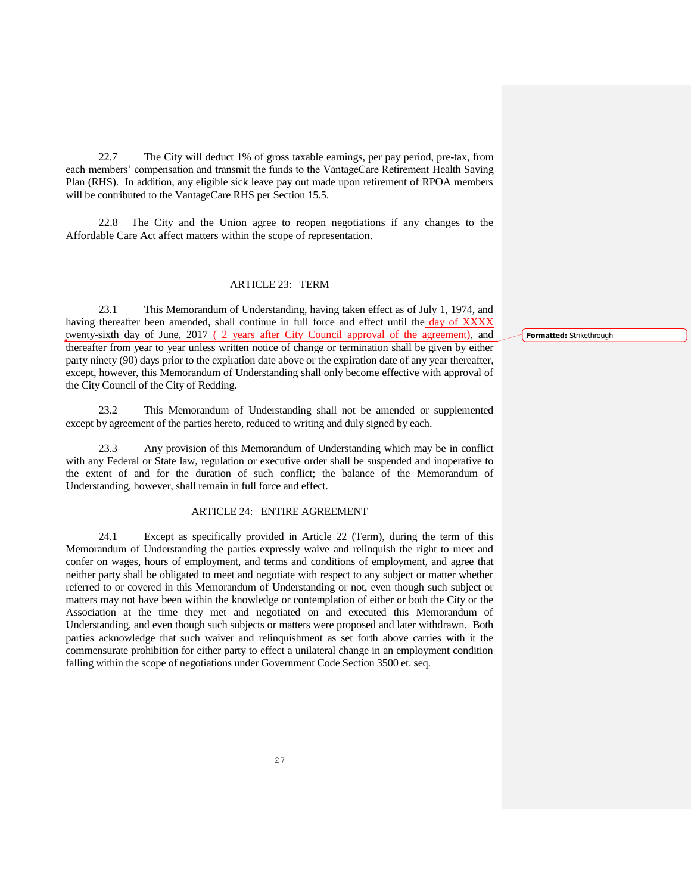22.7 The City will deduct 1% of gross taxable earnings, per pay period, pre-tax, from each members' compensation and transmit the funds to the VantageCare Retirement Health Saving Plan (RHS). In addition, any eligible sick leave pay out made upon retirement of RPOA members will be contributed to the VantageCare RHS per Section 15.5.

22.8 The City and the Union agree to reopen negotiations if any changes to the Affordable Care Act affect matters within the scope of representation.

#### ARTICLE 23: TERM

23.1 This Memorandum of Understanding, having taken effect as of July 1, 1974, and having thereafter been amended, shall continue in full force and effect until the day of XXXX twenty-sixth day of June, 2017-(2 years after City Council approval of the agreement), and thereafter from year to year unless written notice of change or termination shall be given by either party ninety (90) days prior to the expiration date above or the expiration date of any year thereafter, except, however, this Memorandum of Understanding shall only become effective with approval of the City Council of the City of Redding.

23.2 This Memorandum of Understanding shall not be amended or supplemented except by agreement of the parties hereto, reduced to writing and duly signed by each.

23.3 Any provision of this Memorandum of Understanding which may be in conflict with any Federal or State law, regulation or executive order shall be suspended and inoperative to the extent of and for the duration of such conflict; the balance of the Memorandum of Understanding, however, shall remain in full force and effect.

## ARTICLE 24: ENTIRE AGREEMENT

24.1 Except as specifically provided in Article 22 (Term), during the term of this Memorandum of Understanding the parties expressly waive and relinquish the right to meet and confer on wages, hours of employment, and terms and conditions of employment, and agree that neither party shall be obligated to meet and negotiate with respect to any subject or matter whether referred to or covered in this Memorandum of Understanding or not, even though such subject or matters may not have been within the knowledge or contemplation of either or both the City or the Association at the time they met and negotiated on and executed this Memorandum of Understanding, and even though such subjects or matters were proposed and later withdrawn. Both parties acknowledge that such waiver and relinquishment as set forth above carries with it the commensurate prohibition for either party to effect a unilateral change in an employment condition falling within the scope of negotiations under Government Code Section 3500 et. seq.

**Formatted:** Strikethrough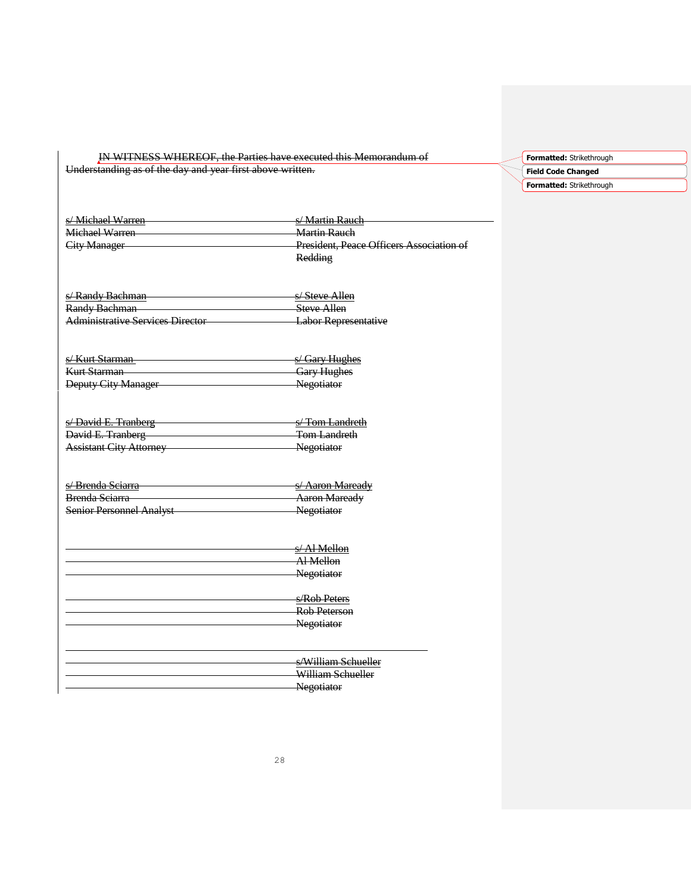| <u>IN WITINESS WITCHEOF, the Farnes have executed this including the international</u> |
|----------------------------------------------------------------------------------------|
|----------------------------------------------------------------------------------------|

Understanding as of the day and year first above written.



| s/Michael Warren<br>Michael Warren<br><b>City Manager</b> | s/ Martin Rauch<br><b>Martin Rauch</b><br>President, Peace Officers Association of<br>Redding |
|-----------------------------------------------------------|-----------------------------------------------------------------------------------------------|
| s/Randy Bachman                                           | s/Steve Allen                                                                                 |
| Randy Bachman                                             | Steve Allen                                                                                   |
| <b>Administrative Services Director</b>                   | Labor Representative                                                                          |

s/Kurt Starman san San Side Starman sa San Side Start Starman sa Start Starman sa Start Starman sa Start Starman Start Start Start Start Start Start Start Start Start Start Start Start Start Start Start Start Start Start S Gary Hughes<br>Negotiator Deputy City Manager

| s/David E. Tranberg            | <del>s/ Tom Landreth</del> |
|--------------------------------|----------------------------|
| David E. Tranberg              | <del>Tom Landreth</del>    |
| <b>Assistant City Attorney</b> | Negotiator                 |

| s/Brenda Sciarra                | s/Aaron Maready      |
|---------------------------------|----------------------|
|                                 |                      |
| <b>Brenda Sejarra</b>           | <b>Aaron Maready</b> |
| <b>Senior Personnel Analyst</b> | Negotiator           |
|                                 |                      |

| Al Mellon<br>Negotiator |
|-------------------------|
|                         |
|                         |
|                         |
| s/Rob Peters            |
| <b>Rob Peterson</b>     |
| Negotiator              |
|                         |
|                         |

| s/William Schueller |
|---------------------|
| William Schueller   |
| Negotiator          |
|                     |